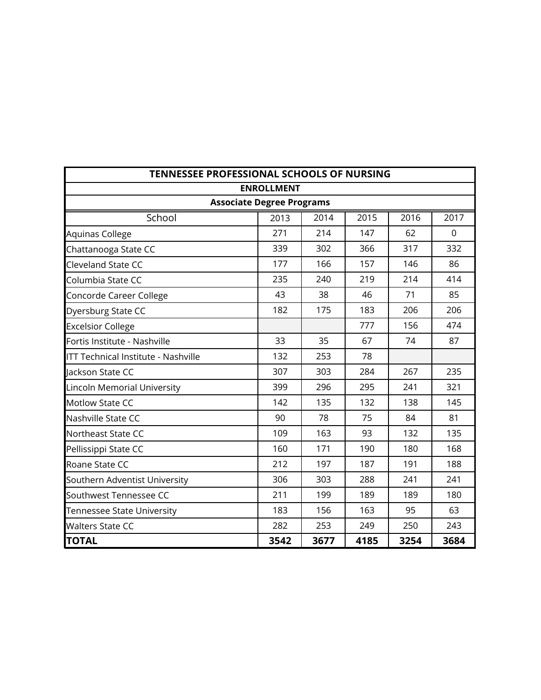| TENNESSEE PROFESSIONAL SCHOOLS OF NURSING  |                                  |      |      |      |          |  |  |  |  |
|--------------------------------------------|----------------------------------|------|------|------|----------|--|--|--|--|
|                                            | <b>ENROLLMENT</b>                |      |      |      |          |  |  |  |  |
|                                            | <b>Associate Degree Programs</b> |      |      |      |          |  |  |  |  |
| School                                     | 2013                             | 2014 | 2015 | 2016 | 2017     |  |  |  |  |
| Aquinas College                            | 271                              | 214  | 147  | 62   | $\Omega$ |  |  |  |  |
| Chattanooga State CC                       | 339                              | 302  | 366  | 317  | 332      |  |  |  |  |
| <b>Cleveland State CC</b>                  | 177                              | 166  | 157  | 146  | 86       |  |  |  |  |
| Columbia State CC                          | 235                              | 240  | 219  | 214  | 414      |  |  |  |  |
| Concorde Career College                    | 43                               | 38   | 46   | 71   | 85       |  |  |  |  |
| Dyersburg State CC                         | 182                              | 175  | 183  | 206  | 206      |  |  |  |  |
| <b>Excelsior College</b>                   |                                  |      | 777  | 156  | 474      |  |  |  |  |
| Fortis Institute - Nashville               | 33                               | 35   | 67   | 74   | 87       |  |  |  |  |
| <b>ITT Technical Institute - Nashville</b> | 132                              | 253  | 78   |      |          |  |  |  |  |
| Jackson State CC                           | 307                              | 303  | 284  | 267  | 235      |  |  |  |  |
| Lincoln Memorial University                | 399                              | 296  | 295  | 241  | 321      |  |  |  |  |
| <b>Motlow State CC</b>                     | 142                              | 135  | 132  | 138  | 145      |  |  |  |  |
| Nashville State CC                         | 90                               | 78   | 75   | 84   | 81       |  |  |  |  |
| Northeast State CC                         | 109                              | 163  | 93   | 132  | 135      |  |  |  |  |
| Pellissippi State CC                       | 160                              | 171  | 190  | 180  | 168      |  |  |  |  |
| Roane State CC                             | 212                              | 197  | 187  | 191  | 188      |  |  |  |  |
| Southern Adventist University              | 306                              | 303  | 288  | 241  | 241      |  |  |  |  |
| Southwest Tennessee CC                     | 211                              | 199  | 189  | 189  | 180      |  |  |  |  |
| Tennessee State University                 | 183                              | 156  | 163  | 95   | 63       |  |  |  |  |
| <b>Walters State CC</b>                    | 282                              | 253  | 249  | 250  | 243      |  |  |  |  |
| <b>TOTAL</b>                               | 3542                             | 3677 | 4185 | 3254 | 3684     |  |  |  |  |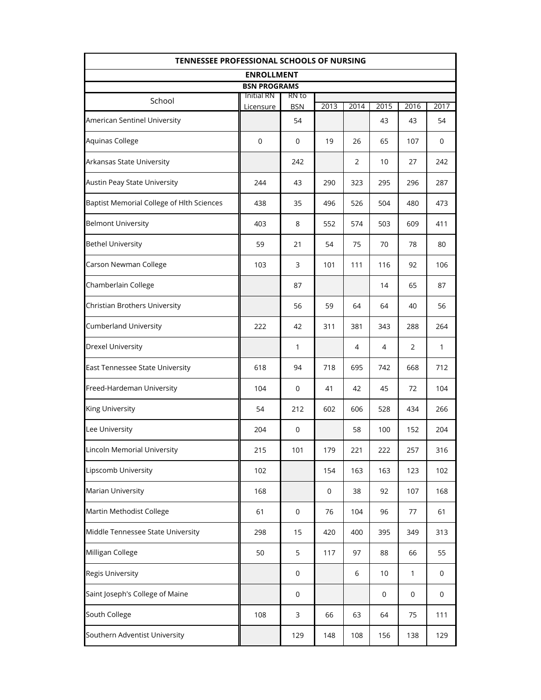| <b>TENNESSEE PROFESSIONAL SCHOOLS OF NURSING</b> |                                |                     |           |                |      |                |              |  |  |
|--------------------------------------------------|--------------------------------|---------------------|-----------|----------------|------|----------------|--------------|--|--|
|                                                  | <b>ENROLLMENT</b>              |                     |           |                |      |                |              |  |  |
|                                                  | <b>BSN PROGRAMS</b>            |                     |           |                |      |                |              |  |  |
| School                                           | <b>Initial RN</b><br>Licensure | RN to<br><b>BSN</b> | 2013      | 2014           | 2015 | 2016           | 2017         |  |  |
| American Sentinel University                     |                                | 54                  |           |                | 43   | 43             | 54           |  |  |
| Aquinas College                                  | $\mathbf 0$                    | 0                   | 19        | 26             | 65   | 107            | 0            |  |  |
| Arkansas State University                        |                                | 242                 |           | 2              | 10   | 27             | 242          |  |  |
| Austin Peay State University                     | 244                            | 43                  | 290       | 323            | 295  | 296            | 287          |  |  |
| Baptist Memorial College of Hlth Sciences        | 438                            | 35                  | 496       | 526            | 504  | 480            | 473          |  |  |
| <b>Belmont University</b>                        | 403<br>8<br>552<br>574         |                     |           | 503            | 609  | 411            |              |  |  |
| <b>Bethel University</b>                         | 59                             | 21                  | 54        | 75             | 70   | 78             | 80           |  |  |
| Carson Newman College                            | 103                            | 3                   | 101       | 111            | 116  | 92             | 106          |  |  |
| Chamberlain College                              |                                | 87                  |           |                | 14   | 65             | 87           |  |  |
| Christian Brothers University                    |                                | 56                  | 59        | 64             | 64   | 40             | 56           |  |  |
| <b>Cumberland University</b>                     | 222                            | 42                  | 311       | 381            | 343  | 288            | 264          |  |  |
| <b>Drexel University</b>                         |                                | 1                   |           | $\overline{4}$ | 4    | $\overline{2}$ | $\mathbf{1}$ |  |  |
| East Tennessee State University                  | 618                            | 94                  | 718       | 695            | 742  | 668            | 712          |  |  |
| Freed-Hardeman University                        | 104                            | 0                   | 41        | 42             | 45   | 72             | 104          |  |  |
| King University                                  | 54                             | 212                 | 602       | 606            | 528  | 434            | 266          |  |  |
| Lee University                                   | 204                            | 0                   |           | 58             | 100  | 152            | 204          |  |  |
| Lincoln Memorial University                      | 215                            | 101                 | 179       | 221            | 222  | 257            | 316          |  |  |
| Lipscomb University                              | 102                            |                     | 154       | 163            | 163  | 123            | 102          |  |  |
| Marian University                                | 168                            |                     | $\pmb{0}$ | 38             | 92   | 107            | 168          |  |  |
| Martin Methodist College                         | 61                             | $\mathbf 0$         | 76        | 104            | 96   | 77             | 61           |  |  |
| Middle Tennessee State University                | 298                            | 15                  | 420       | 400            | 395  | 349            | 313          |  |  |
| Milligan College                                 | 50                             | 5                   | 117       | 97             | 88   | 66             | 55           |  |  |
| <b>Regis University</b>                          |                                | $\mathbf 0$         |           | 6              | 10   | 1              | $\mathbf 0$  |  |  |
| Saint Joseph's College of Maine                  |                                | $\mathsf{O}\xspace$ |           |                | 0    | $\mathbf 0$    | $\mathbf 0$  |  |  |
| South College                                    | 108                            | 3                   | 66        | 63             | 64   | 75             | 111          |  |  |
| Southern Adventist University                    |                                | 129                 | 148       | 108            | 156  | 138            | 129          |  |  |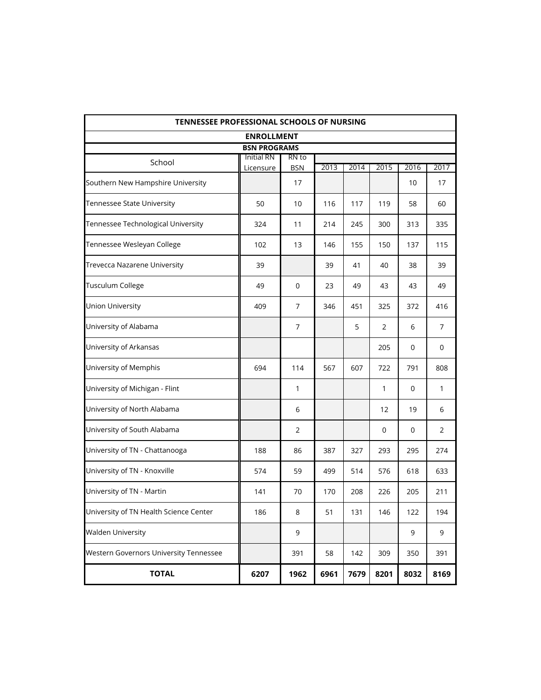| <b>TENNESSEE PROFESSIONAL SCHOOLS OF NURSING</b> |                                |                     |      |      |      |      |      |
|--------------------------------------------------|--------------------------------|---------------------|------|------|------|------|------|
|                                                  | <b>ENROLLMENT</b>              |                     |      |      |      |      |      |
|                                                  | <b>BSN PROGRAMS</b>            |                     |      |      |      |      |      |
| School                                           | <b>Initial RN</b><br>Licensure | RN to<br><b>BSN</b> | 2013 | 2014 | 2015 | 2016 | 2017 |
| Southern New Hampshire University                |                                | 17                  |      |      |      | 10   | 17   |
| Tennessee State University                       | 50                             | 10                  | 116  | 117  | 119  | 58   | 60   |
| Tennessee Technological University               | 324                            | 11                  | 214  | 245  | 300  | 313  | 335  |
| Tennessee Wesleyan College                       | 102                            | 13                  | 146  | 155  | 150  | 137  | 115  |
| Trevecca Nazarene University                     | 39                             |                     | 39   | 41   | 40   | 38   | 39   |
| Tusculum College                                 | 49                             | 0                   | 23   | 49   | 43   | 43   | 49   |
| Union University                                 | 409                            | 7                   | 346  | 451  | 325  | 372  | 416  |
| University of Alabama                            |                                | 7                   |      | 5    | 2    | 6    | 7    |
| University of Arkansas                           |                                |                     |      |      | 205  | 0    | 0    |
| University of Memphis                            | 694                            | 114                 | 567  | 607  | 722  | 791  | 808  |
| University of Michigan - Flint                   |                                | 1                   |      |      | 1    | 0    | 1    |
| University of North Alabama                      |                                | 6                   |      |      | 12   | 19   | 6    |
| University of South Alabama                      |                                | 2                   |      |      | 0    | 0    | 2    |
| University of TN - Chattanooga                   | 188                            | 86                  | 387  | 327  | 293  | 295  | 274  |
| University of TN - Knoxville                     | 574                            | 59                  | 499  | 514  | 576  | 618  | 633  |
| University of TN - Martin                        | 141                            | 70                  | 170  | 208  | 226  | 205  | 211  |
| University of TN Health Science Center           | 186                            | 8                   | 51   | 131  | 146  | 122  | 194  |
| <b>Walden University</b>                         |                                | 9                   |      |      |      | 9    | 9    |
| Western Governors University Tennessee           |                                | 391                 | 58   | 142  | 309  | 350  | 391  |
| <b>TOTAL</b>                                     | 6207                           | 1962                | 6961 | 7679 | 8201 | 8032 | 8169 |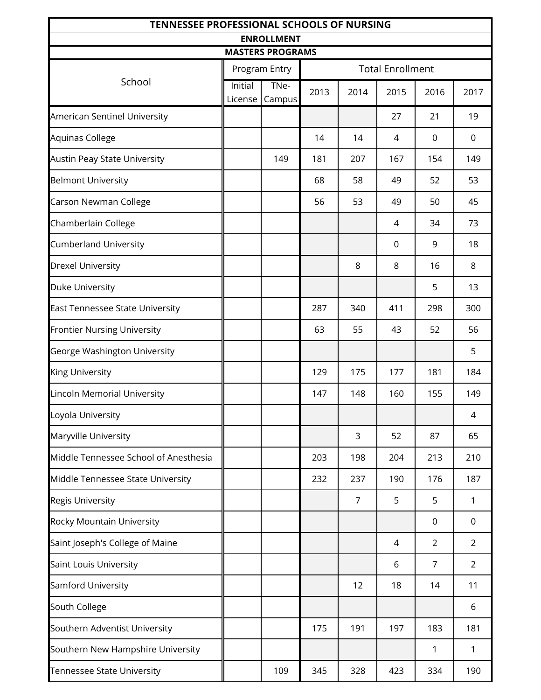| <b>TENNESSEE PROFESSIONAL SCHOOLS OF NURSING</b> |                    |                                              |      |                |                         |                |                |  |
|--------------------------------------------------|--------------------|----------------------------------------------|------|----------------|-------------------------|----------------|----------------|--|
|                                                  |                    | <b>ENROLLMENT</b><br><b>MASTERS PROGRAMS</b> |      |                |                         |                |                |  |
|                                                  |                    | Program Entry                                |      |                | <b>Total Enrollment</b> |                |                |  |
| School                                           | Initial<br>License | TNe-<br>Campus                               | 2013 | 2014           | 2015                    | 2016           | 2017           |  |
| American Sentinel University                     |                    |                                              |      |                | 27                      | 21             | 19             |  |
| Aquinas College                                  |                    |                                              | 14   | 14             | 4                       | $\mathbf 0$    | $\mathbf 0$    |  |
| <b>Austin Peay State University</b>              |                    | 149                                          | 181  | 207            | 167                     | 154            | 149            |  |
| <b>Belmont University</b>                        |                    |                                              | 68   | 58             | 49                      | 52             | 53             |  |
| Carson Newman College                            |                    |                                              | 56   | 53             | 49                      | 50             | 45             |  |
| Chamberlain College                              |                    |                                              |      |                | 4                       | 34             | 73             |  |
| <b>Cumberland University</b>                     |                    |                                              |      |                | $\mathbf 0$             | 9              | 18             |  |
| Drexel University                                |                    |                                              |      | 8              | 8                       | 16             | 8              |  |
| Duke University                                  |                    |                                              |      |                |                         | 5              | 13             |  |
| East Tennessee State University                  |                    |                                              | 287  | 340            | 411                     | 298            | 300            |  |
| <b>Frontier Nursing University</b>               |                    |                                              | 63   | 55             | 43                      | 52             | 56             |  |
| George Washington University                     |                    |                                              |      |                |                         |                | 5              |  |
| King University                                  |                    |                                              | 129  | 175            | 177                     | 181            | 184            |  |
| Lincoln Memorial University                      |                    |                                              | 147  | 148            | 160                     | 155            | 149            |  |
| Loyola University                                |                    |                                              |      |                |                         |                | 4              |  |
| Maryville University                             |                    |                                              |      | 3              | 52                      | 87             | 65             |  |
| Middle Tennessee School of Anesthesia            |                    |                                              | 203  | 198            | 204                     | 213            | 210            |  |
| Middle Tennessee State University                |                    |                                              | 232  | 237            | 190                     | 176            | 187            |  |
| <b>Regis University</b>                          |                    |                                              |      | $\overline{7}$ | 5                       | 5              | 1              |  |
| Rocky Mountain University                        |                    |                                              |      |                |                         | 0              | 0              |  |
| Saint Joseph's College of Maine                  |                    |                                              |      |                | 4                       | $\overline{2}$ | $\overline{2}$ |  |
| Saint Louis University                           |                    |                                              |      |                | 6                       | 7              | $\overline{2}$ |  |
| Samford University                               |                    |                                              |      | 12             | 18                      | 14             | 11             |  |
| South College                                    |                    |                                              |      |                |                         |                | 6              |  |
| Southern Adventist University                    |                    |                                              | 175  | 191            | 197                     | 183            | 181            |  |
| Southern New Hampshire University                |                    |                                              |      |                |                         | 1              | 1              |  |
| Tennessee State University                       |                    | 109                                          | 345  | 328            | 423                     | 334            | 190            |  |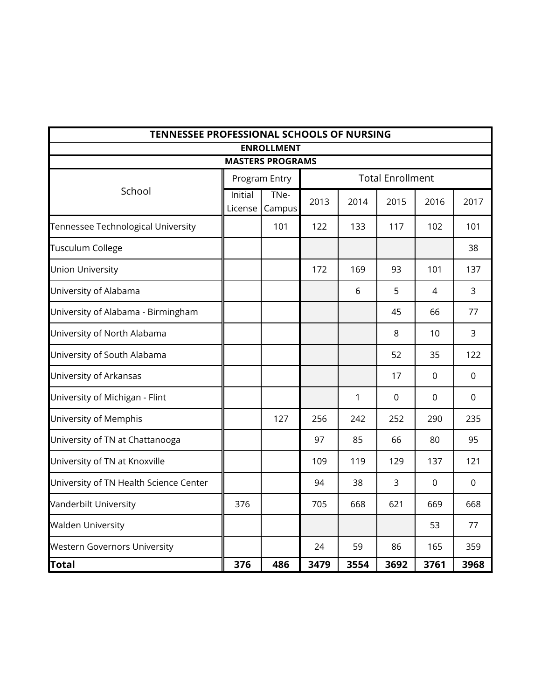| TENNESSEE PROFESSIONAL SCHOOLS OF NURSING |         |                         |      |      |                         |                |                |  |
|-------------------------------------------|---------|-------------------------|------|------|-------------------------|----------------|----------------|--|
|                                           |         | <b>ENROLLMENT</b>       |      |      |                         |                |                |  |
|                                           |         | <b>MASTERS PROGRAMS</b> |      |      |                         |                |                |  |
|                                           |         | Program Entry           |      |      | <b>Total Enrollment</b> |                |                |  |
| School                                    | Initial | TNe-                    | 2013 | 2014 | 2015                    | 2016           | 2017           |  |
| Tennessee Technological University        | License | Campus<br>101           | 122  | 133  | 117                     | 102            | 101            |  |
| <b>Tusculum College</b>                   |         |                         |      |      |                         |                | 38             |  |
| <b>Union University</b>                   |         |                         | 172  | 169  | 93                      | 101            | 137            |  |
| University of Alabama                     |         |                         |      | 6    | 5                       | 4              | 3              |  |
| University of Alabama - Birmingham        |         |                         |      |      | 45                      | 66             | 77             |  |
| University of North Alabama               |         |                         |      |      | 8                       | 10             | 3              |  |
| University of South Alabama               |         |                         |      |      | 52                      | 35             | 122            |  |
| University of Arkansas                    |         |                         |      |      | 17                      | 0              | 0              |  |
| University of Michigan - Flint            |         |                         |      | 1    | $\Omega$                | $\overline{0}$ | $\overline{0}$ |  |
| University of Memphis                     |         | 127                     | 256  | 242  | 252                     | 290            | 235            |  |
| University of TN at Chattanooga           |         |                         | 97   | 85   | 66                      | 80             | 95             |  |
| University of TN at Knoxville             |         |                         | 109  | 119  | 129                     | 137            | 121            |  |
| University of TN Health Science Center    |         |                         | 94   | 38   | 3                       | $\overline{0}$ | $\mathbf 0$    |  |
| Vanderbilt University                     | 376     |                         | 705  | 668  | 621                     | 669            | 668            |  |
| <b>Walden University</b>                  |         |                         |      |      |                         | 53             | 77             |  |
| <b>Western Governors University</b>       |         |                         | 24   | 59   | 86                      | 165            | 359            |  |
| <b>Total</b>                              | 376     | 486                     | 3479 | 3554 | 3692                    | 3761           | 3968           |  |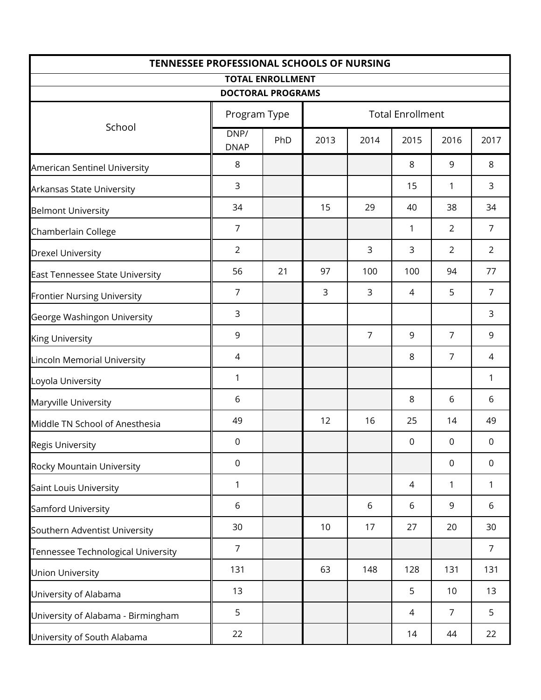| <b>TENNESSEE PROFESSIONAL SCHOOLS OF NURSING</b> |                     |                          |      |                         |             |                |                  |  |
|--------------------------------------------------|---------------------|--------------------------|------|-------------------------|-------------|----------------|------------------|--|
|                                                  |                     | <b>TOTAL ENROLLMENT</b>  |      |                         |             |                |                  |  |
|                                                  |                     | <b>DOCTORAL PROGRAMS</b> |      |                         |             |                |                  |  |
|                                                  | Program Type        |                          |      | <b>Total Enrollment</b> |             |                |                  |  |
| School                                           | DNP/<br><b>DNAP</b> | PhD                      | 2013 | 2014                    | 2015        | 2016           | 2017             |  |
| American Sentinel University                     | 8                   |                          |      |                         | 8           | 9              | 8                |  |
| Arkansas State University                        | 3                   |                          |      |                         | 15          | $\mathbf{1}$   | 3                |  |
| <b>Belmont University</b>                        | 34                  |                          | 15   | 29                      | 40          | 38             | 34               |  |
| Chamberlain College                              | $\overline{7}$      |                          |      |                         | 1           | $\overline{2}$ | $\overline{7}$   |  |
| <b>Drexel University</b>                         | $\overline{2}$      |                          |      | 3                       | 3           | $\overline{2}$ | $\overline{2}$   |  |
| East Tennessee State University                  | 56                  | 21                       | 97   | 100                     | 100         | 94             | 77               |  |
| <b>Frontier Nursing University</b>               | $\overline{7}$      |                          | 3    | 3                       | 4           | 5              | $\overline{7}$   |  |
| George Washingon University                      | 3                   |                          |      |                         |             |                | 3                |  |
| <b>King University</b>                           | 9                   |                          |      | $\overline{7}$          | 9           | $\overline{7}$ | 9                |  |
| Lincoln Memorial University                      | 4                   |                          |      |                         | 8           | $\overline{7}$ | 4                |  |
| Loyola University                                | 1                   |                          |      |                         |             |                | 1                |  |
| Maryville University                             | 6                   |                          |      |                         | 8           | 6              | 6                |  |
| Middle TN School of Anesthesia                   | 49                  |                          | 12   | 16                      | 25          | 14             | 49               |  |
| <b>Regis University</b>                          | $\boldsymbol{0}$    |                          |      |                         | $\mathbf 0$ | 0              | $\boldsymbol{0}$ |  |
| Rocky Mountain University                        | $\mathbf 0$         |                          |      |                         |             | 0              | $\mathbf 0$      |  |
| Saint Louis University                           | 1                   |                          |      |                         | 4           | 1              | 1                |  |
| Samford University                               | 6                   |                          |      | 6                       | 6           | 9              | 6                |  |
| Southern Adventist University                    | 30                  |                          | 10   | 17                      | 27          | 20             | 30               |  |
| Tennessee Technological University               | $\overline{7}$      |                          |      |                         |             |                | $\overline{7}$   |  |
| <b>Union University</b>                          | 131                 |                          | 63   | 148                     | 128         | 131            | 131              |  |
| University of Alabama                            | 13                  |                          |      |                         | 5           | 10             | 13               |  |
| University of Alabama - Birmingham               | 5                   |                          |      |                         | 4           | $\overline{7}$ | 5                |  |
| University of South Alabama                      | 22                  |                          |      |                         | 14          | 44             | 22               |  |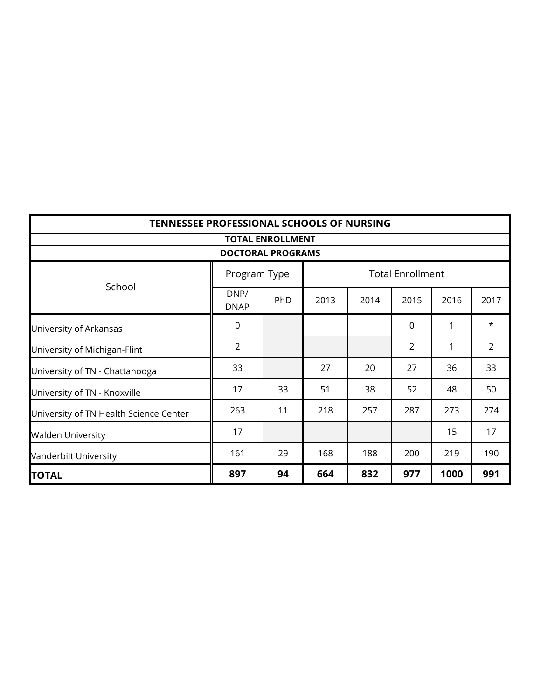|                                        | <b>TENNESSEE PROFESSIONAL SCHOOLS OF NURSING</b> |                         |      |      |                         |      |                |  |  |
|----------------------------------------|--------------------------------------------------|-------------------------|------|------|-------------------------|------|----------------|--|--|
|                                        |                                                  | <b>TOTAL ENROLLMENT</b> |      |      |                         |      |                |  |  |
| <b>DOCTORAL PROGRAMS</b>               |                                                  |                         |      |      |                         |      |                |  |  |
| School                                 | Program Type                                     |                         |      |      | <b>Total Enrollment</b> |      |                |  |  |
|                                        | DNP/<br><b>DNAP</b>                              | PhD                     | 2013 | 2014 | 2015                    | 2016 | 2017           |  |  |
| University of Arkansas                 | $\mathbf 0$                                      |                         |      |      | $\mathbf 0$             | 1    | $\star$        |  |  |
| University of Michigan-Flint           | $\overline{2}$                                   |                         |      |      | $\overline{2}$          | 1    | $\overline{2}$ |  |  |
| University of TN - Chattanooga         | 33                                               |                         | 27   | 20   | 27                      | 36   | 33             |  |  |
| University of TN - Knoxville           | 17                                               | 33                      | 51   | 38   | 52                      | 48   | 50             |  |  |
| University of TN Health Science Center | 263                                              | 11                      | 218  | 257  | 287                     | 273  | 274            |  |  |
| <b>Walden University</b>               | 17                                               |                         |      |      |                         | 15   | 17             |  |  |
| Vanderbilt University                  | 161                                              | 29                      | 168  | 188  | 200                     | 219  | 190            |  |  |
| <b>TOTAL</b>                           | 897                                              | 94                      | 664  | 832  | 977                     | 1000 | 991            |  |  |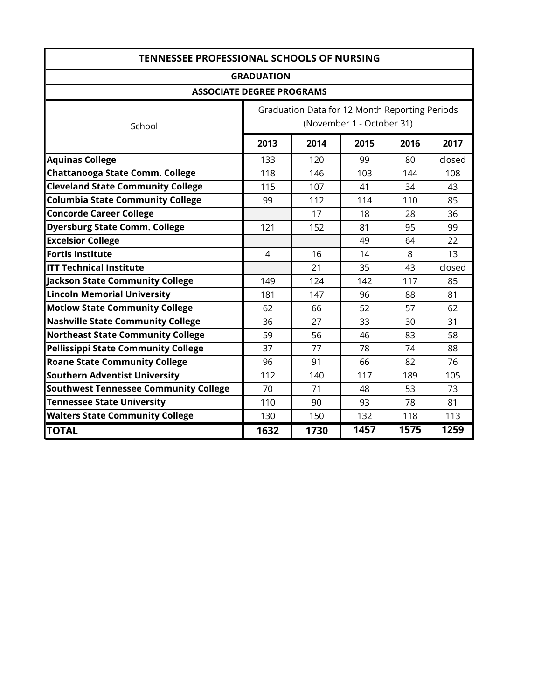| <b>TENNESSEE PROFESSIONAL SCHOOLS OF NURSING</b> |                   |                                                |                           |      |        |  |  |  |
|--------------------------------------------------|-------------------|------------------------------------------------|---------------------------|------|--------|--|--|--|
|                                                  | <b>GRADUATION</b> |                                                |                           |      |        |  |  |  |
| <b>ASSOCIATE DEGREE PROGRAMS</b>                 |                   |                                                |                           |      |        |  |  |  |
|                                                  |                   | Graduation Data for 12 Month Reporting Periods |                           |      |        |  |  |  |
| School                                           |                   |                                                | (November 1 - October 31) |      |        |  |  |  |
|                                                  | 2013              | 2014                                           | 2015                      | 2016 | 2017   |  |  |  |
| <b>Aquinas College</b>                           | 133               | 120                                            | 99                        | 80   | closed |  |  |  |
| <b>Chattanooga State Comm. College</b>           | 118               | 146                                            | 103                       | 144  | 108    |  |  |  |
| <b>Cleveland State Community College</b>         | 115               | 107                                            | 41                        | 34   | 43     |  |  |  |
| <b>Columbia State Community College</b>          | 99                | 112                                            | 114                       | 110  | 85     |  |  |  |
| <b>Concorde Career College</b>                   |                   | 17                                             | 18                        | 28   | 36     |  |  |  |
| <b>Dyersburg State Comm. College</b>             | 121               | 152                                            | 81                        | 95   | 99     |  |  |  |
| <b>Excelsior College</b>                         |                   |                                                | 49                        | 64   | 22     |  |  |  |
| <b>Fortis Institute</b>                          | 4                 | 16                                             | 14                        | 8    | 13     |  |  |  |
| <b>ITT Technical Institute</b>                   |                   | 21                                             | 35                        | 43   | closed |  |  |  |
| Jackson State Community College                  | 149               | 124                                            | 142                       | 117  | 85     |  |  |  |
| <b>Lincoln Memorial University</b>               | 181               | 147                                            | 96                        | 88   | 81     |  |  |  |
| <b>Motlow State Community College</b>            | 62                | 66                                             | 52                        | 57   | 62     |  |  |  |
| <b>Nashville State Community College</b>         | 36                | 27                                             | 33                        | 30   | 31     |  |  |  |
| <b>Northeast State Community College</b>         | 59                | 56                                             | 46                        | 83   | 58     |  |  |  |
| <b>Pellissippi State Community College</b>       | 37                | 77                                             | 78                        | 74   | 88     |  |  |  |
| <b>Roane State Community College</b>             | 96                | 91                                             | 66                        | 82   | 76     |  |  |  |
| <b>Southern Adventist University</b>             | 112               | 140                                            | 117                       | 189  | 105    |  |  |  |
| <b>Southwest Tennessee Community College</b>     | 70                | 71                                             | 48                        | 53   | 73     |  |  |  |
| <b>Tennessee State University</b>                | 110               | 90                                             | 93                        | 78   | 81     |  |  |  |
| <b>Walters State Community College</b>           | 130               | 150                                            | 132                       | 118  | 113    |  |  |  |
| <b>TOTAL</b>                                     | 1632              | 1730                                           | 1457                      | 1575 | 1259   |  |  |  |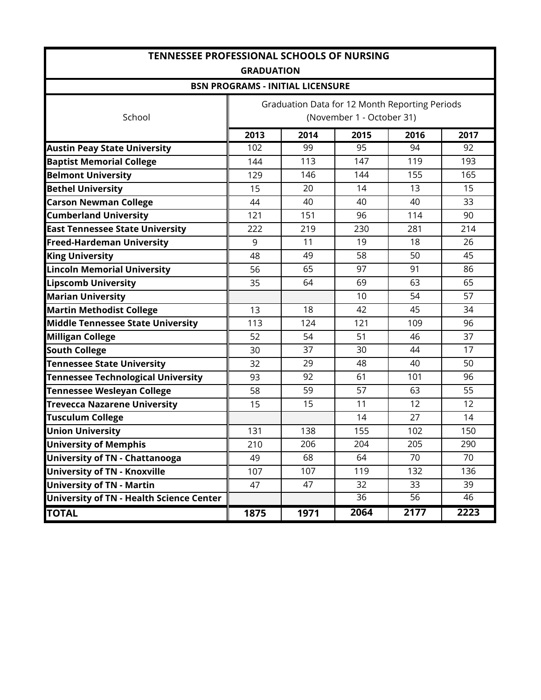|                                                 | <b>TENNESSEE PROFESSIONAL SCHOOLS OF NURSING</b><br><b>GRADUATION</b> |                                         |                                                                             |      |      |  |  |  |
|-------------------------------------------------|-----------------------------------------------------------------------|-----------------------------------------|-----------------------------------------------------------------------------|------|------|--|--|--|
|                                                 |                                                                       | <b>BSN PROGRAMS - INITIAL LICENSURE</b> |                                                                             |      |      |  |  |  |
| School                                          |                                                                       |                                         | Graduation Data for 12 Month Reporting Periods<br>(November 1 - October 31) |      |      |  |  |  |
|                                                 | 2013                                                                  | 2014                                    | 2015                                                                        | 2016 | 2017 |  |  |  |
| <b>Austin Peay State University</b>             | 102                                                                   | 99                                      | 95                                                                          | 94   | 92   |  |  |  |
| <b>Baptist Memorial College</b>                 | 144                                                                   | 113                                     | 147                                                                         | 119  | 193  |  |  |  |
| <b>Belmont University</b>                       | 129                                                                   | 146                                     | 144                                                                         | 155  | 165  |  |  |  |
| <b>Bethel University</b>                        | 15                                                                    | 20                                      | 14                                                                          | 13   | 15   |  |  |  |
| <b>Carson Newman College</b>                    | 44                                                                    | 40                                      | 40                                                                          | 40   | 33   |  |  |  |
| <b>Cumberland University</b>                    | 121                                                                   | 151                                     | 96                                                                          | 114  | 90   |  |  |  |
| <b>East Tennessee State University</b>          | 222                                                                   | 219                                     | 230                                                                         | 281  | 214  |  |  |  |
| <b>Freed-Hardeman University</b>                | 9                                                                     | 11                                      | 19                                                                          | 18   | 26   |  |  |  |
| <b>King University</b>                          | 48                                                                    | 49                                      | 58                                                                          | 50   | 45   |  |  |  |
| <b>Lincoln Memorial University</b>              | 56                                                                    | 65                                      | 97                                                                          | 91   | 86   |  |  |  |
| <b>Lipscomb University</b>                      | 35                                                                    | 64                                      | 69                                                                          | 63   | 65   |  |  |  |
| <b>Marian University</b>                        |                                                                       |                                         | 10                                                                          | 54   | 57   |  |  |  |
| <b>Martin Methodist College</b>                 | 13                                                                    | 18                                      | 42                                                                          | 45   | 34   |  |  |  |
| <b>Middle Tennessee State University</b>        | 113                                                                   | 124                                     | 121                                                                         | 109  | 96   |  |  |  |
| <b>Milligan College</b>                         | 52                                                                    | 54                                      | 51                                                                          | 46   | 37   |  |  |  |
| <b>South College</b>                            | 30                                                                    | 37                                      | 30                                                                          | 44   | 17   |  |  |  |
| <b>Tennessee State University</b>               | 32                                                                    | 29                                      | 48                                                                          | 40   | 50   |  |  |  |
| <b>Tennessee Technological University</b>       | 93                                                                    | 92                                      | 61                                                                          | 101  | 96   |  |  |  |
| <b>Tennessee Wesleyan College</b>               | 58                                                                    | 59                                      | 57                                                                          | 63   | 55   |  |  |  |
| <b>Trevecca Nazarene University</b>             | 15                                                                    | 15                                      | 11                                                                          | 12   | 12   |  |  |  |
| <b>Tusculum College</b>                         |                                                                       |                                         | 14                                                                          | 27   | 14   |  |  |  |
| <b>Union University</b>                         | 131                                                                   | 138                                     | 155                                                                         | 102  | 150  |  |  |  |
| <b>University of Memphis</b>                    | 210                                                                   | 206                                     | 204                                                                         | 205  | 290  |  |  |  |
| <b>University of TN - Chattanooga</b>           | 49                                                                    | 68                                      | 64                                                                          | 70   | 70   |  |  |  |
| <b>University of TN - Knoxville</b>             | 107                                                                   | 107                                     | 119                                                                         | 132  | 136  |  |  |  |
| <b>University of TN - Martin</b>                | 47                                                                    | 47                                      | 32                                                                          | 33   | 39   |  |  |  |
| <b>University of TN - Health Science Center</b> |                                                                       |                                         | 36                                                                          | 56   | 46   |  |  |  |
| <b>TOTAL</b>                                    | 1875                                                                  | 1971                                    | 2064                                                                        | 2177 | 2223 |  |  |  |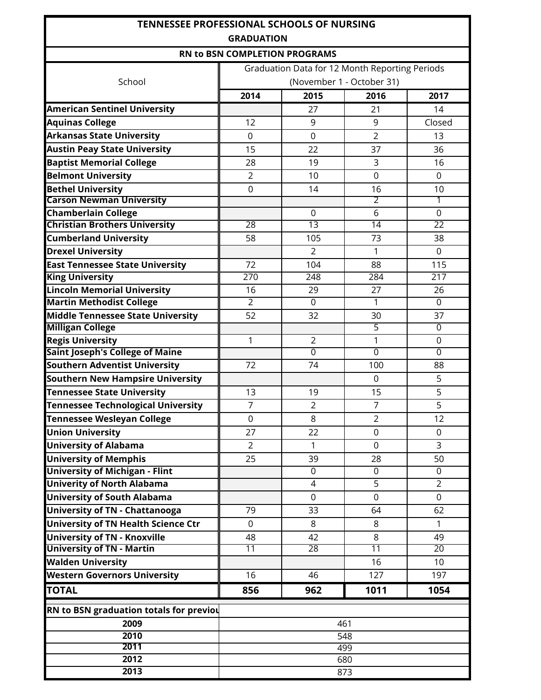| <b>TENNESSEE PROFESSIONAL SCHOOLS OF NURSING</b>   |                               |                                                |                           |                  |  |  |  |
|----------------------------------------------------|-------------------------------|------------------------------------------------|---------------------------|------------------|--|--|--|
|                                                    | <b>GRADUATION</b>             |                                                |                           |                  |  |  |  |
|                                                    | RN to BSN COMPLETION PROGRAMS |                                                |                           |                  |  |  |  |
|                                                    |                               | Graduation Data for 12 Month Reporting Periods |                           |                  |  |  |  |
| School                                             |                               |                                                | (November 1 - October 31) |                  |  |  |  |
|                                                    | 2014                          | 2015                                           | 2016                      | 2017             |  |  |  |
| <b>American Sentinel University</b>                |                               | 27                                             | 21                        | 14               |  |  |  |
| <b>Aquinas College</b>                             | 12                            | 9                                              | 9                         | Closed           |  |  |  |
| <b>Arkansas State University</b>                   | 0                             | $\mathbf 0$                                    | $\overline{2}$            | 13               |  |  |  |
| <b>Austin Peay State University</b>                | 15                            | 22                                             | 37                        | 36               |  |  |  |
| <b>Baptist Memorial College</b>                    | 28                            | 19                                             | 3                         | 16               |  |  |  |
| <b>Belmont University</b>                          | $\overline{2}$                | 10                                             | $\overline{0}$            | $\mathbf 0$      |  |  |  |
| <b>Bethel University</b>                           | $\mathbf 0$                   | 14                                             | 16                        | 10               |  |  |  |
| <b>Carson Newman University</b>                    |                               |                                                | $\overline{2}$            | 1                |  |  |  |
| <b>Chamberlain College</b>                         |                               | $\mathbf 0$                                    | 6                         | $\mathbf 0$      |  |  |  |
| <b>Christian Brothers University</b>               | 28                            | $\overline{13}$                                | 14                        | 22               |  |  |  |
| <b>Cumberland University</b>                       | 58                            | 105                                            | 73                        | 38               |  |  |  |
| <b>Drexel University</b>                           |                               | $\overline{2}$                                 | 1                         | $\overline{0}$   |  |  |  |
| <b>East Tennessee State University</b>             | 72                            | 104                                            | 88                        | 115              |  |  |  |
| <b>King University</b>                             | 270                           | 248                                            | 284                       | 217              |  |  |  |
| <b>Lincoln Memorial University</b>                 | 16                            | 29                                             | 27                        | 26               |  |  |  |
| <b>Martin Methodist College</b>                    | $\overline{2}$                | $\overline{0}$                                 | $\mathbf{1}$              | $\overline{0}$   |  |  |  |
| <b>Middle Tennessee State University</b>           | 52                            | 32                                             | 30<br>5                   | 37               |  |  |  |
| <b>Milligan College</b><br><b>Regis University</b> | 1                             | $\overline{2}$                                 | 1                         | 0<br>$\mathbf 0$ |  |  |  |
| <b>Saint Joseph's College of Maine</b>             |                               | $\overline{0}$                                 | $\overline{0}$            | $\overline{0}$   |  |  |  |
| <b>Southern Adventist University</b>               | 72                            | 74                                             | 100                       | 88               |  |  |  |
| <b>Southern New Hampsire University</b>            |                               |                                                | 0                         | 5                |  |  |  |
| <b>Tennessee State University</b>                  | 13                            | 19                                             | 15                        | 5                |  |  |  |
| <b>Tennessee Technological University</b>          | $\overline{7}$                | $\overline{2}$                                 | $\overline{7}$            | 5                |  |  |  |
| <b>Tennessee Wesleyan College</b>                  | 0                             | 8                                              | $\overline{2}$            | 12               |  |  |  |
| <b>Union University</b>                            | 27                            | 22                                             | $\mathbf 0$               |                  |  |  |  |
| <b>University of Alabama</b>                       | $\overline{2}$                | $\mathbf{1}$                                   | $\mathbf 0$               | 0<br>3           |  |  |  |
| <b>University of Memphis</b>                       | 25                            | 39                                             |                           | 50               |  |  |  |
| <b>University of Michigan - Flint</b>              |                               | $\mathbf 0$                                    | 28<br>$\mathbf 0$         | $\Omega$         |  |  |  |
| <b>Univerity of North Alabama</b>                  |                               | $\overline{4}$                                 | 5                         | $\overline{2}$   |  |  |  |
| <b>University of South Alabama</b>                 |                               | $\mathbf 0$                                    | $\mathbf 0$               | $\mathbf 0$      |  |  |  |
| <b>University of TN - Chattanooga</b>              | 79                            | 33                                             | 64                        | 62               |  |  |  |
| University of TN Health Science Ctr                | $\mathbf 0$                   | 8                                              | 8                         | $\mathbf{1}$     |  |  |  |
| <b>University of TN - Knoxville</b>                | 48                            | 42                                             | 8                         | 49               |  |  |  |
| <b>University of TN - Martin</b>                   | 11                            | 28                                             | 11                        | 20               |  |  |  |
| <b>Walden University</b>                           |                               |                                                | 16                        | 10               |  |  |  |
| <b>Western Governors University</b>                | 16                            | 46                                             | 127                       | 197              |  |  |  |
| <b>TOTAL</b>                                       | 856                           | 962                                            | 1011                      | 1054             |  |  |  |
|                                                    |                               |                                                |                           |                  |  |  |  |
| RN to BSN graduation totals for previou            |                               |                                                |                           |                  |  |  |  |
| 2009                                               |                               |                                                | 461                       |                  |  |  |  |
| 2010                                               |                               |                                                | 548                       |                  |  |  |  |
| 2011                                               |                               |                                                | 499                       |                  |  |  |  |
| 2012<br>2013                                       |                               |                                                | 680                       |                  |  |  |  |
|                                                    |                               |                                                | 873                       |                  |  |  |  |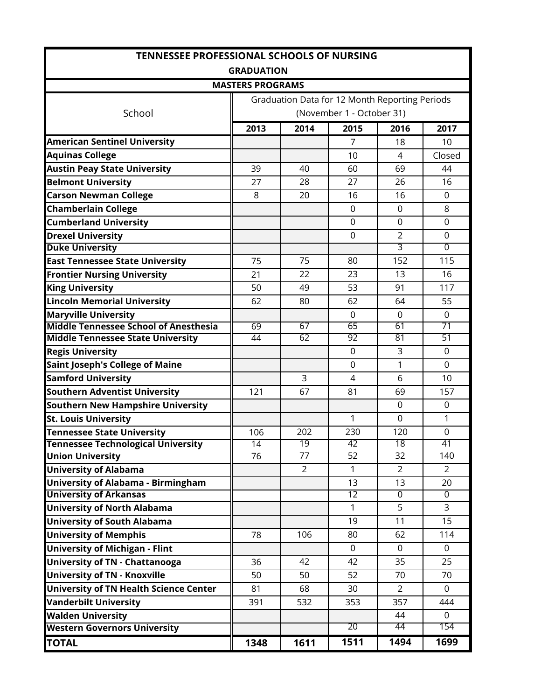| <b>TENNESSEE PROFESSIONAL SCHOOLS OF NURSING</b>                    |                         |                 |                                                |                      |                      |  |  |  |
|---------------------------------------------------------------------|-------------------------|-----------------|------------------------------------------------|----------------------|----------------------|--|--|--|
|                                                                     | <b>GRADUATION</b>       |                 |                                                |                      |                      |  |  |  |
|                                                                     | <b>MASTERS PROGRAMS</b> |                 |                                                |                      |                      |  |  |  |
|                                                                     |                         |                 | Graduation Data for 12 Month Reporting Periods |                      |                      |  |  |  |
| School                                                              |                         |                 | (November 1 - October 31)                      |                      |                      |  |  |  |
|                                                                     | 2013                    | 2014            | 2015                                           | 2016                 | 2017                 |  |  |  |
| <b>American Sentinel University</b>                                 |                         |                 | 7                                              | 18                   | 10                   |  |  |  |
| <b>Aquinas College</b>                                              |                         |                 | 10                                             | 4                    | Closed               |  |  |  |
| <b>Austin Peay State University</b>                                 | 39                      | 40              | 60                                             | 69                   | 44                   |  |  |  |
| <b>Belmont University</b>                                           | 27                      | 28              | 27                                             | 26                   | 16                   |  |  |  |
| <b>Carson Newman College</b>                                        | 8                       | 20              | 16                                             | 16                   | $\Omega$             |  |  |  |
| <b>Chamberlain College</b>                                          |                         |                 | $\mathbf 0$                                    | $\mathbf 0$          | 8                    |  |  |  |
| <b>Cumberland University</b>                                        |                         |                 | 0                                              | $\mathbf 0$          | $\mathbf 0$          |  |  |  |
| <b>Drexel University</b>                                            |                         |                 | $\overline{0}$                                 | $\overline{2}$       | $\mathbf 0$          |  |  |  |
| <b>Duke University</b>                                              |                         |                 |                                                | 3                    | $\overline{0}$       |  |  |  |
| <b>East Tennessee State University</b>                              | 75                      | 75              | 80                                             | 152                  | 115                  |  |  |  |
| <b>Frontier Nursing University</b>                                  | 21                      | 22              | 23                                             | 13                   | 16                   |  |  |  |
| <b>King University</b>                                              | 50                      | 49              | 53                                             | 91                   | 117                  |  |  |  |
| <b>Lincoln Memorial University</b>                                  | 62                      | 80              | 62                                             | 64                   | 55                   |  |  |  |
| <b>Maryville University</b>                                         |                         |                 | 0                                              | $\mathbf 0$          | 0                    |  |  |  |
| <b>Middle Tennessee School of Anesthesia</b>                        | 69                      | 67              | 65                                             | 61                   | 71                   |  |  |  |
| <b>Middle Tennessee State University</b>                            | 44                      | 62              | 92                                             | 81                   | 51                   |  |  |  |
| <b>Regis University</b>                                             |                         |                 | $\mathbf 0$                                    | 3                    | $\Omega$             |  |  |  |
| <b>Saint Joseph's College of Maine</b>                              |                         |                 | 0                                              | 1                    | $\mathbf 0$          |  |  |  |
| <b>Samford University</b>                                           |                         | 3               | 4                                              | 6                    | 10                   |  |  |  |
| Southern Adventist University                                       | 121                     | 67              | 81                                             | 69                   | 157                  |  |  |  |
| <b>Southern New Hampshire University</b>                            |                         |                 |                                                | $\Omega$             | $\Omega$             |  |  |  |
| <b>St. Louis University</b>                                         |                         |                 | 1                                              | $\Omega$             | 1                    |  |  |  |
| <b>Tennessee State University</b>                                   | 106                     | 202             | 230                                            | 120                  | 0                    |  |  |  |
| <b>Tennessee Technological University</b>                           | 14                      | 19              | 42                                             | 18                   | 41                   |  |  |  |
| <b>Union University</b>                                             | 76                      | $\overline{77}$ | 52                                             | $\overline{32}$      | 140                  |  |  |  |
| <b>University of Alabama</b>                                        |                         | 2               | 1                                              | 2                    | 2                    |  |  |  |
| University of Alabama - Birmingham<br><b>University of Arkansas</b> |                         |                 | 13<br>12                                       | 13<br>$\overline{0}$ | 20<br>$\overline{0}$ |  |  |  |
| <b>University of North Alabama</b>                                  |                         |                 | $\mathbf{1}$                                   | 5                    | 3                    |  |  |  |
| <b>University of South Alabama</b>                                  |                         |                 | 19                                             | 11                   | 15                   |  |  |  |
| <b>University of Memphis</b>                                        | 78                      | 106             | 80                                             | 62                   | 114                  |  |  |  |
| <b>University of Michigan - Flint</b>                               |                         |                 | $\mathbf 0$                                    | $\Omega$             | $\Omega$             |  |  |  |
|                                                                     |                         | 42              | 42                                             | 35                   | 25                   |  |  |  |
| University of TN - Chattanooga<br>University of TN - Knoxville      | 36                      | 50              | 52                                             | 70                   | 70                   |  |  |  |
|                                                                     | 50                      |                 |                                                |                      |                      |  |  |  |
| University of TN Health Science Center                              | 81                      | 68              | 30                                             | $\overline{2}$       | $\mathbf 0$          |  |  |  |
| <b>Vanderbilt University</b>                                        | 391                     | 532             | 353                                            | 357                  | 444                  |  |  |  |
| <b>Walden University</b>                                            |                         |                 | 20                                             | 44<br>44             | $\mathbf 0$<br>154   |  |  |  |
| <b>Western Governors University</b>                                 |                         |                 |                                                |                      |                      |  |  |  |
| <b>TOTAL</b>                                                        | 1348                    | 1611            | 1511                                           | 1494                 | 1699                 |  |  |  |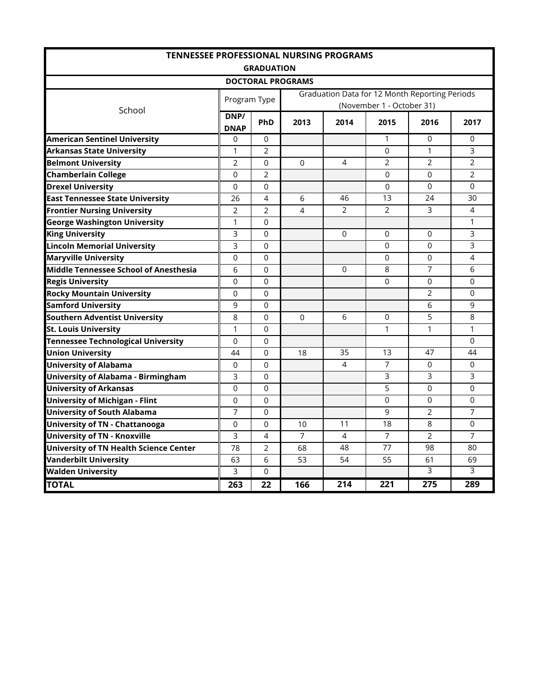| <b>TENNESSEE PROFESSIONAL NURSING PROGRAMS</b> |                |                   |                          |                  |                           |                                                |                |  |
|------------------------------------------------|----------------|-------------------|--------------------------|------------------|---------------------------|------------------------------------------------|----------------|--|
|                                                |                | <b>GRADUATION</b> |                          |                  |                           |                                                |                |  |
|                                                |                |                   | <b>DOCTORAL PROGRAMS</b> |                  |                           |                                                |                |  |
|                                                | Program Type   |                   |                          |                  | (November 1 - October 31) | Graduation Data for 12 Month Reporting Periods |                |  |
| School                                         | DNP/           | PhD               | 2013                     | 2014             | 2015                      | 2016                                           | 2017           |  |
|                                                | <b>DNAP</b>    |                   |                          |                  |                           |                                                |                |  |
| <b>American Sentinel University</b>            | 0              | $\Omega$          |                          |                  | 1                         | 0                                              | 0              |  |
| <b>Arkansas State University</b>               | 1              | $\overline{2}$    |                          |                  | 0                         | 1                                              | 3              |  |
| <b>Belmont University</b>                      | $\overline{2}$ | 0                 | 0                        | 4                | $\overline{2}$            | 2                                              | 2              |  |
| <b>Chamberlain College</b>                     | 0              | $\overline{2}$    |                          |                  | 0                         | 0                                              | $\overline{2}$ |  |
| <b>Drexel University</b>                       | 0              | 0                 |                          |                  | 0                         | 0                                              | $\Omega$       |  |
| <b>East Tennessee State University</b>         | 26             | 4                 | 6                        | 46               | 13                        | 24                                             | 30             |  |
| <b>Frontier Nursing University</b>             | 2              | $\overline{2}$    | 4                        | 2                | 2                         | 3                                              | 4              |  |
| <b>George Washington University</b>            | 1              | $\Omega$          |                          |                  |                           |                                                | $\mathbf{1}$   |  |
| <b>King University</b>                         | 3              | $\Omega$          |                          | $\Omega$         | 0                         | 0                                              | 3              |  |
| <b>Lincoln Memorial University</b>             | 3              | $\Omega$          |                          |                  | 0                         | 0                                              | $\overline{3}$ |  |
| <b>Maryville University</b>                    | $\Omega$       | $\Omega$          |                          |                  | 0                         | 0                                              | 4              |  |
| Middle Tennessee School of Anesthesia          | 6              | $\Omega$          |                          | $\mathbf{0}$     | 8                         | 7                                              | 6              |  |
| <b>Regis University</b>                        | $\Omega$       | $\Omega$          |                          |                  | $\Omega$                  | 0                                              | $\Omega$       |  |
| <b>Rocky Mountain University</b>               | 0              | 0                 |                          |                  |                           | 2                                              | 0              |  |
| <b>Samford University</b>                      | 9              | $\Omega$          |                          |                  |                           | 6                                              | 9              |  |
| <b>Southern Adventist University</b>           | 8              | $\Omega$          | $\Omega$                 | 6                | 0                         | 5                                              | 8              |  |
| <b>St. Louis University</b>                    | 1              | $\Omega$          |                          |                  | 1                         | 1                                              | $\mathbf{1}$   |  |
| <b>Tennessee Technological University</b>      | $\Omega$       | 0                 |                          |                  |                           |                                                | $\Omega$       |  |
| Union University                               | 44             | $\Omega$          | 18                       | 35               | 13                        | 47                                             | 44             |  |
| <b>University of Alabama</b>                   | 0              | $\Omega$          |                          | 4                | $\overline{7}$            | 0                                              | 0              |  |
| <b>University of Alabama - Birmingham</b>      | 3              | 0                 |                          |                  | $\mathsf{3}$              | 3                                              | 3              |  |
| <b>University of Arkansas</b>                  | $\Omega$       | $\Omega$          |                          |                  | 5                         | $\Omega$                                       | $\Omega$       |  |
| <b>University of Michigan - Flint</b>          | $\Omega$       | $\Omega$          |                          |                  | $\mathbf 0$               | 0                                              | $\mathbf 0$    |  |
| <b>University of South Alabama</b>             | 7              | 0                 |                          |                  | 9                         | 2                                              | $\overline{7}$ |  |
| <b>University of TN - Chattanooga</b>          | 0              | 0                 | 10                       | 11               | 18                        | 8                                              | $\mathbf 0$    |  |
| <b>University of TN - Knoxville</b>            | 3              | 4                 | $\overline{7}$           | 4                | $\overline{7}$            | 2                                              | $\overline{7}$ |  |
| <b>University of TN Health Science Center</b>  | 78             | $\overline{2}$    | 68                       | 48               | 77                        | 98                                             | 80             |  |
| <b>Vanderbilt University</b>                   | 63             | 6                 | 53                       | 54               | 55                        | 61                                             | 69             |  |
| <b>Walden University</b>                       | 3              | 0                 |                          |                  |                           | 3                                              | 3              |  |
| <b>TOTAL</b>                                   | 263            | 22                | 166                      | $\overline{214}$ | 221                       | 275                                            | 289            |  |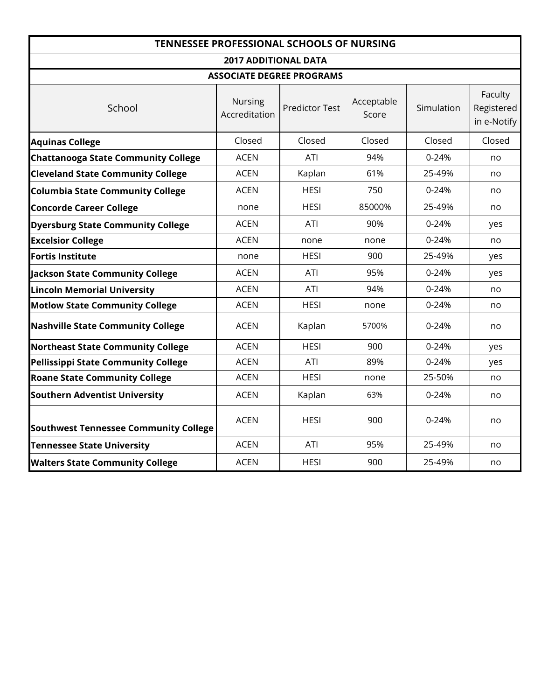|                                              |                                 | <b>TENNESSEE PROFESSIONAL SCHOOLS OF NURSING</b> |                     |            |                                      |
|----------------------------------------------|---------------------------------|--------------------------------------------------|---------------------|------------|--------------------------------------|
|                                              | <b>2017 ADDITIONAL DATA</b>     |                                                  |                     |            |                                      |
|                                              |                                 | <b>ASSOCIATE DEGREE PROGRAMS</b>                 |                     |            |                                      |
| School                                       | <b>Nursing</b><br>Accreditation | <b>Predictor Test</b>                            | Acceptable<br>Score | Simulation | Faculty<br>Registered<br>in e-Notify |
| <b>Aquinas College</b>                       | Closed                          | Closed                                           | Closed              | Closed     | Closed                               |
| <b>Chattanooga State Community College</b>   | <b>ACEN</b>                     | ATI                                              | 94%                 | $0 - 24%$  | no                                   |
| <b>Cleveland State Community College</b>     | <b>ACEN</b>                     | Kaplan                                           | 61%                 | 25-49%     | no                                   |
| <b>Columbia State Community College</b>      | <b>ACEN</b>                     | <b>HESI</b>                                      | 750                 | 0-24%      | no                                   |
| <b>Concorde Career College</b>               | none                            | <b>HESI</b>                                      | 85000%              | 25-49%     | no                                   |
| <b>Dyersburg State Community College</b>     | <b>ACEN</b>                     | ATI                                              | 90%                 | $0 - 24%$  | yes                                  |
| <b>Excelsior College</b>                     | <b>ACEN</b>                     | none                                             | none                | 0-24%      | no                                   |
| <b>Fortis Institute</b>                      | none                            | <b>HESI</b>                                      | 900                 | 25-49%     | yes                                  |
| <b>Jackson State Community College</b>       | <b>ACEN</b>                     | ATI                                              | 95%                 | $0 - 24%$  | yes                                  |
| <b>Lincoln Memorial University</b>           | <b>ACEN</b>                     | ATI                                              | 94%                 | $0 - 24%$  | no                                   |
| <b>Motlow State Community College</b>        | <b>ACEN</b>                     | <b>HESI</b>                                      | none                | 0-24%      | no                                   |
| <b>Nashville State Community College</b>     | <b>ACEN</b>                     | Kaplan                                           | 5700%               | 0-24%      | no                                   |
| <b>Northeast State Community College</b>     | <b>ACEN</b>                     | <b>HESI</b>                                      | 900                 | $0 - 24%$  | yes                                  |
| <b>Pellissippi State Community College</b>   | <b>ACEN</b>                     | ATI                                              | 89%                 | $0 - 24%$  | yes                                  |
| <b>Roane State Community College</b>         | <b>ACEN</b>                     | <b>HESI</b>                                      | none                | 25-50%     | no                                   |
| <b>Southern Adventist University</b>         | <b>ACEN</b>                     | Kaplan                                           | 63%                 | $0 - 24%$  | no                                   |
| <b>Southwest Tennessee Community College</b> | <b>ACEN</b>                     | <b>HESI</b>                                      | 900                 | 0-24%      | no                                   |
| <b>Tennessee State University</b>            | <b>ACEN</b>                     | ATI                                              | 95%                 | 25-49%     | no                                   |
| <b>Walters State Community College</b>       | <b>ACEN</b>                     | <b>HESI</b>                                      | 900                 | 25-49%     | no                                   |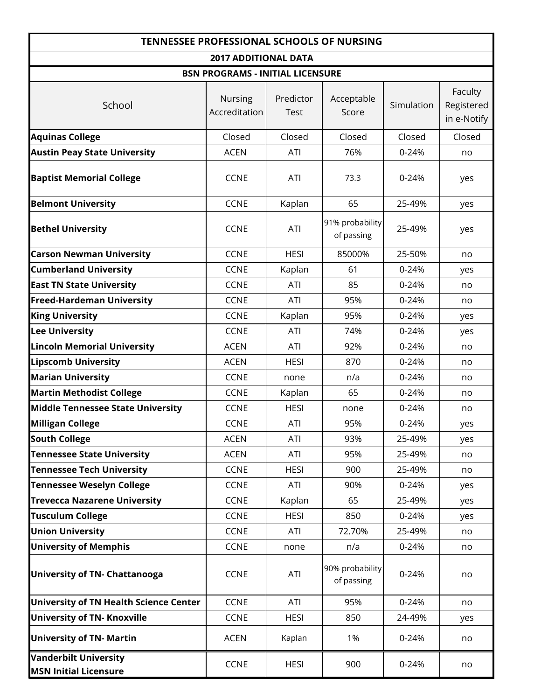| <b>TENNESSEE PROFESSIONAL SCHOOLS OF NURSING</b>             |                                         |                          |                               |            |                                      |  |  |  |  |  |  |  |  |
|--------------------------------------------------------------|-----------------------------------------|--------------------------|-------------------------------|------------|--------------------------------------|--|--|--|--|--|--|--|--|
|                                                              | <b>2017 ADDITIONAL DATA</b>             |                          |                               |            |                                      |  |  |  |  |  |  |  |  |
|                                                              | <b>BSN PROGRAMS - INITIAL LICENSURE</b> |                          |                               |            |                                      |  |  |  |  |  |  |  |  |
| School                                                       | <b>Nursing</b><br>Accreditation         | Predictor<br><b>Test</b> | Acceptable<br>Score           | Simulation | Faculty<br>Registered<br>in e-Notify |  |  |  |  |  |  |  |  |
| <b>Aquinas College</b>                                       | Closed                                  | Closed                   | Closed                        | Closed     | Closed                               |  |  |  |  |  |  |  |  |
| <b>Austin Peay State University</b>                          | <b>ACEN</b>                             | ATI                      | 76%                           | $0 - 24%$  | no                                   |  |  |  |  |  |  |  |  |
| <b>Baptist Memorial College</b>                              | <b>CCNE</b>                             | ATI                      | 73.3                          | $0 - 24%$  | yes                                  |  |  |  |  |  |  |  |  |
| <b>Belmont University</b>                                    | <b>CCNE</b>                             | Kaplan                   | 65                            | 25-49%     | yes                                  |  |  |  |  |  |  |  |  |
| <b>Bethel University</b>                                     | <b>CCNE</b>                             | ATI                      | 91% probability<br>of passing | 25-49%     | yes                                  |  |  |  |  |  |  |  |  |
| <b>Carson Newman University</b>                              | <b>CCNE</b>                             | <b>HESI</b>              | 85000%                        | 25-50%     | no                                   |  |  |  |  |  |  |  |  |
| <b>Cumberland University</b>                                 | <b>CCNE</b>                             | Kaplan                   | 61                            | $0 - 24%$  | yes                                  |  |  |  |  |  |  |  |  |
| <b>East TN State University</b>                              | <b>CCNE</b>                             | ATI                      | 85                            | $0 - 24%$  | no                                   |  |  |  |  |  |  |  |  |
| <b>Freed-Hardeman University</b>                             | <b>CCNE</b>                             | ATI                      | 95%                           | 0-24%      | no                                   |  |  |  |  |  |  |  |  |
| <b>King University</b>                                       | <b>CCNE</b>                             | Kaplan                   | 95%                           | $0 - 24%$  | yes                                  |  |  |  |  |  |  |  |  |
| <b>Lee University</b>                                        | <b>CCNE</b>                             | ATI                      | 74%                           | 0-24%      | yes                                  |  |  |  |  |  |  |  |  |
| <b>Lincoln Memorial University</b>                           | <b>ACEN</b>                             | ATI                      | 92%                           | $0 - 24%$  | no                                   |  |  |  |  |  |  |  |  |
| <b>Lipscomb University</b>                                   | <b>ACEN</b>                             | <b>HESI</b>              | 870                           | $0 - 24%$  | no                                   |  |  |  |  |  |  |  |  |
| <b>Marian University</b>                                     | <b>CCNE</b>                             | none                     | n/a                           | $0 - 24%$  | no                                   |  |  |  |  |  |  |  |  |
| <b>Martin Methodist College</b>                              | <b>CCNE</b>                             | Kaplan                   | 65                            | $0 - 24%$  | no                                   |  |  |  |  |  |  |  |  |
| <b>Middle Tennessee State University</b>                     | <b>CCNE</b>                             | <b>HESI</b>              | none                          | 0-24%      | no                                   |  |  |  |  |  |  |  |  |
| <b>Milligan College</b>                                      | <b>CCNE</b>                             | ATI                      | 95%                           | $0 - 24%$  | yes                                  |  |  |  |  |  |  |  |  |
| <b>South College</b>                                         | <b>ACEN</b>                             | ATI                      | 93%                           | 25-49%     | yes                                  |  |  |  |  |  |  |  |  |
| <b>Tennessee State University</b>                            | <b>ACEN</b>                             | ATI                      | 95%                           | 25-49%     | no                                   |  |  |  |  |  |  |  |  |
| <b>Tennessee Tech University</b>                             | <b>CCNE</b>                             | <b>HESI</b>              | 900                           | 25-49%     | no                                   |  |  |  |  |  |  |  |  |
| <b>Tennessee Weselyn College</b>                             | <b>CCNE</b>                             | ATI                      | 90%                           | 0-24%      | yes                                  |  |  |  |  |  |  |  |  |
| <b>Trevecca Nazarene University</b>                          | <b>CCNE</b>                             | Kaplan                   | 65                            | 25-49%     | yes                                  |  |  |  |  |  |  |  |  |
| <b>Tusculum College</b>                                      | <b>CCNE</b>                             | <b>HESI</b>              | 850                           | 0-24%      | yes                                  |  |  |  |  |  |  |  |  |
| <b>Union University</b>                                      | <b>CCNE</b>                             | ATI                      | 72.70%                        | 25-49%     | no                                   |  |  |  |  |  |  |  |  |
| <b>University of Memphis</b>                                 | <b>CCNE</b>                             | none                     | n/a                           | 0-24%      | no                                   |  |  |  |  |  |  |  |  |
| <b>University of TN- Chattanooga</b>                         | <b>CCNE</b>                             | ATI                      | 90% probability<br>of passing | 0-24%      | no                                   |  |  |  |  |  |  |  |  |
| <b>University of TN Health Science Center</b>                | <b>CCNE</b>                             | ATI                      | 95%                           | 0-24%      | no                                   |  |  |  |  |  |  |  |  |
| <b>University of TN- Knoxville</b>                           | <b>CCNE</b>                             | <b>HESI</b>              | 850                           | 24-49%     | yes                                  |  |  |  |  |  |  |  |  |
| <b>University of TN- Martin</b>                              | <b>ACEN</b>                             | Kaplan                   | 1%                            | 0-24%      | no                                   |  |  |  |  |  |  |  |  |
| <b>Vanderbilt University</b><br><b>MSN Initial Licensure</b> | <b>CCNE</b>                             | <b>HESI</b>              | 900                           | 0-24%      | no                                   |  |  |  |  |  |  |  |  |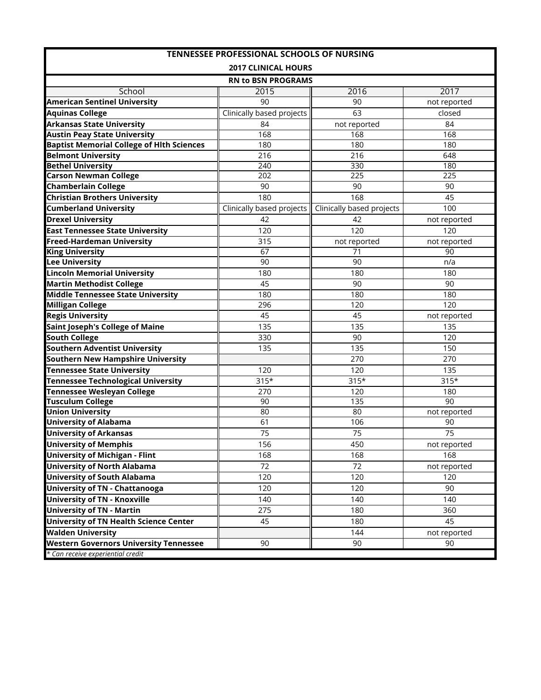| <b>TENNESSEE PROFESSIONAL SCHOOLS OF NURSING</b> |                            |                           |              |  |  |  |  |  |  |  |  |  |
|--------------------------------------------------|----------------------------|---------------------------|--------------|--|--|--|--|--|--|--|--|--|
|                                                  | <b>2017 CLINICAL HOURS</b> |                           |              |  |  |  |  |  |  |  |  |  |
|                                                  | <b>RN to BSN PROGRAMS</b>  |                           |              |  |  |  |  |  |  |  |  |  |
| School                                           | 2015                       | 2016                      | 2017         |  |  |  |  |  |  |  |  |  |
| <b>American Sentinel University</b>              | 90                         | 90                        | not reported |  |  |  |  |  |  |  |  |  |
| <b>Aquinas College</b>                           | Clinically based projects  | 63                        | closed       |  |  |  |  |  |  |  |  |  |
| <b>Arkansas State University</b>                 | 84                         | not reported              | 84           |  |  |  |  |  |  |  |  |  |
| <b>Austin Peay State University</b>              | 168                        | 168                       | 168          |  |  |  |  |  |  |  |  |  |
| <b>Baptist Memorial College of Hith Sciences</b> | 180                        | 180                       | 180          |  |  |  |  |  |  |  |  |  |
| <b>Belmont University</b>                        | 216                        | 216                       | 648          |  |  |  |  |  |  |  |  |  |
| <b>Bethel University</b>                         | 240                        | 330                       | 180          |  |  |  |  |  |  |  |  |  |
| <b>Carson Newman College</b>                     | 202                        | 225                       | 225          |  |  |  |  |  |  |  |  |  |
| <b>Chamberlain College</b>                       | 90                         | 90                        | 90           |  |  |  |  |  |  |  |  |  |
| <b>Christian Brothers University</b>             | 180                        | 168                       | 45           |  |  |  |  |  |  |  |  |  |
| <b>Cumberland University</b>                     | Clinically based projects  | Clinically based projects | 100          |  |  |  |  |  |  |  |  |  |
| <b>Drexel University</b>                         | 42                         | 42                        | not reported |  |  |  |  |  |  |  |  |  |
| <b>East Tennessee State University</b>           | 120                        | 120                       | 120          |  |  |  |  |  |  |  |  |  |
| <b>Freed-Hardeman University</b>                 | 315                        | not reported              | not reported |  |  |  |  |  |  |  |  |  |
| <b>King University</b>                           | 67                         | 71                        | 90           |  |  |  |  |  |  |  |  |  |
| <b>Lee University</b>                            | 90                         | 90                        | n/a          |  |  |  |  |  |  |  |  |  |
| <b>Lincoln Memorial University</b>               | 180                        | 180                       | 180          |  |  |  |  |  |  |  |  |  |
| <b>Martin Methodist College</b>                  | 45                         | 90                        | 90           |  |  |  |  |  |  |  |  |  |
| <b>Middle Tennessee State University</b>         | 180                        | 180                       | 180          |  |  |  |  |  |  |  |  |  |
| <b>Milligan College</b>                          | 296                        | 120                       | 120          |  |  |  |  |  |  |  |  |  |
| <b>Regis University</b>                          | 45                         | 45                        | not reported |  |  |  |  |  |  |  |  |  |
| <b>Saint Joseph's College of Maine</b>           | 135                        | 135                       | 135          |  |  |  |  |  |  |  |  |  |
| <b>South College</b>                             | 330                        | 90                        | 120          |  |  |  |  |  |  |  |  |  |
| <b>Southern Adventist University</b>             | 135                        | 135                       | 150          |  |  |  |  |  |  |  |  |  |
| <b>Southern New Hampshire University</b>         |                            | 270                       | 270          |  |  |  |  |  |  |  |  |  |
| <b>Tennessee State University</b>                | 120                        | 120                       | 135          |  |  |  |  |  |  |  |  |  |
| <b>Tennessee Technological University</b>        | $315*$                     | $315*$                    | $315*$       |  |  |  |  |  |  |  |  |  |
| <b>Tennessee Wesleyan College</b>                | 270                        | 120                       | 180          |  |  |  |  |  |  |  |  |  |
| <b>Tusculum College</b>                          | 90                         | 135                       | 90           |  |  |  |  |  |  |  |  |  |
| <b>Union University</b>                          | 80                         | 80                        | not reported |  |  |  |  |  |  |  |  |  |
| <b>University of Alabama</b>                     | 61                         | 106                       | 90           |  |  |  |  |  |  |  |  |  |
| <b>University of Arkansas</b>                    | 75                         | 75                        | 75           |  |  |  |  |  |  |  |  |  |
| <b>University of Memphis</b>                     | 156                        | 450                       | not reported |  |  |  |  |  |  |  |  |  |
| <b>University of Michigan - Flint</b>            | 168                        | 168                       | 168          |  |  |  |  |  |  |  |  |  |
| <b>University of North Alabama</b>               | 72                         | 72                        | not reported |  |  |  |  |  |  |  |  |  |
| <b>University of South Alabama</b>               | 120                        | 120                       | 120          |  |  |  |  |  |  |  |  |  |
| <b>University of TN - Chattanooga</b>            | 120                        | 120                       | 90           |  |  |  |  |  |  |  |  |  |
| <b>University of TN - Knoxville</b>              | 140                        | 140                       | 140          |  |  |  |  |  |  |  |  |  |
| <b>University of TN - Martin</b>                 | 275                        | 180                       | 360          |  |  |  |  |  |  |  |  |  |
| University of TN Health Science Center           | 45                         | 180                       | 45           |  |  |  |  |  |  |  |  |  |
| <b>Walden University</b>                         |                            | 144                       | not reported |  |  |  |  |  |  |  |  |  |
| <b>Western Governors University Tennessee</b>    | 90                         | 90                        | 90           |  |  |  |  |  |  |  |  |  |
| * Can receive experiential credit                |                            |                           |              |  |  |  |  |  |  |  |  |  |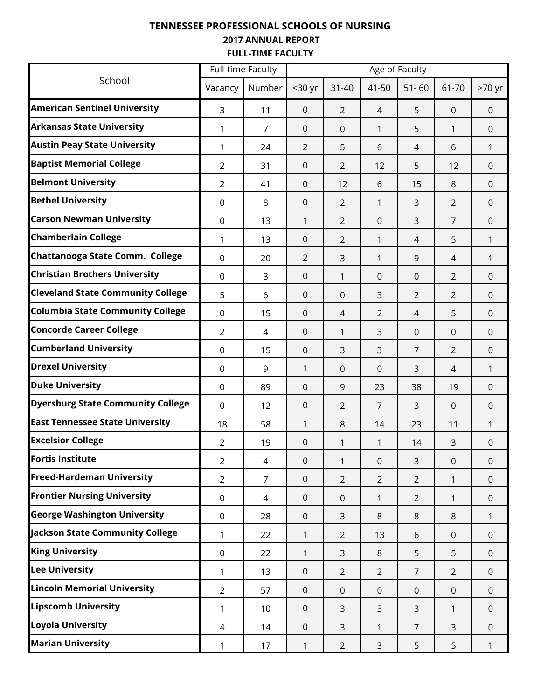### **TENNESSEE PROFESSIONAL SCHOOLS OF NURSING 2017 ANNUAL REPORT FULL-TIME FACULTY**

|                                          | <b>Full-time Faculty</b> |                |              |                |                | Age of Faculty |                |                |
|------------------------------------------|--------------------------|----------------|--------------|----------------|----------------|----------------|----------------|----------------|
| School                                   | Vacancy                  | Number         | $30$ yr      | $31 - 40$      | 41-50          | $51 - 60$      | 61-70          | >70 yr         |
| <b>American Sentinel University</b>      | 3                        | 11             | $\mathbf{0}$ | $\overline{2}$ | 4              | 5              | $\Omega$       | $\mathbf 0$    |
| <b>Arkansas State University</b>         | 1                        | $\overline{7}$ | $\mathbf{0}$ | $\Omega$       | 1              | 5              | $\mathbf{1}$   | $\mathbf 0$    |
| <b>Austin Peay State University</b>      | 1                        | 24             | 2            | 5              | 6              | 4              | 6              | 1              |
| <b>Baptist Memorial College</b>          | 2                        | 31             | $\mathbf 0$  | 2              | 12             | 5              | 12             | $\mathbf 0$    |
| <b>Belmont University</b>                | 2                        | 41             | $\mathbf 0$  | 12             | 6              | 15             | 8              | $\Omega$       |
| <b>Bethel University</b>                 | $\mathbf 0$              | 8              | 0            | $\overline{2}$ | 1              | 3              | $\overline{2}$ | $\mathbf 0$    |
| <b>Carson Newman University</b>          | $\mathbf 0$              | 13             | 1            | 2              | $\overline{0}$ | 3              | $\overline{7}$ | $\mathbf 0$    |
| <b>Chamberlain College</b>               | 1                        | 13             | $\mathbf 0$  | $\overline{2}$ | 1              | 4              | 5              | 1              |
| Chattanooga State Comm. College          | $\mathbf 0$              | 20             | 2            | 3              | 1              | 9              | 4              | 1              |
| <b>Christian Brothers University</b>     | $\mathbf 0$              | 3              | $\mathbf 0$  | 1              | $\mathbf 0$    | 0              | $\overline{2}$ | $\mathbf 0$    |
| <b>Cleveland State Community College</b> | 5                        | 6              | $\mathbf 0$  | $\mathbf 0$    | 3              | $\overline{2}$ | $\overline{2}$ | $\overline{0}$ |
| <b>Columbia State Community College</b>  | $\mathbf 0$              | 15             | $\mathbf 0$  | 4              | 2              | 4              | 5              | $\mathbf{0}$   |
| <b>Concorde Career College</b>           | $\overline{2}$           | 4              | $\mathbf 0$  | 1              | 3              | 0              | $\mathbf 0$    | $\mathbf{0}$   |
| <b>Cumberland University</b>             | $\mathbf 0$              | 15             | $\mathbf 0$  | 3              | 3              | $\overline{7}$ | $\overline{2}$ | $\overline{0}$ |
| <b>Drexel University</b>                 | $\mathbf 0$              | 9              | 1            | $\mathbf 0$    | $\overline{0}$ | 3              | $\overline{4}$ | 1              |
| <b>Duke University</b>                   | $\mathbf 0$              | 89             | $\mathbf 0$  | 9              | 23             | 38             | 19             | $\overline{0}$ |
| <b>Dyersburg State Community College</b> | $\mathbf 0$              | 12             | $\mathbf 0$  | 2              | 7              | 3              | $\mathbf 0$    | $\overline{0}$ |
| <b>East Tennessee State University</b>   | 18                       | 58             | 1            | 8              | 14             | 23             | 11             | 1              |
| <b>Excelsior College</b>                 | $\overline{2}$           | 19             | $\mathbf 0$  | 1              | 1              | 14             | 3              | $\overline{0}$ |
| Fortis Institute                         | $\overline{2}$           | 4              | 0            | 1              | 0              | 3              | $\pmb{0}$      | $\pmb{0}$      |
| <b>Freed-Hardeman University</b>         | $\overline{2}$           | $\overline{7}$ | $\mathbf 0$  | $\overline{2}$ | $\overline{2}$ | $\overline{2}$ | 1              | $\mathbf 0$    |
| <b>Frontier Nursing University</b>       | $\mathbf 0$              | $\overline{4}$ | $\mathbf 0$  | $\mathbf 0$    | 1              | $\overline{2}$ | $\mathbf{1}$   | $\overline{0}$ |
| <b>George Washington University</b>      | $\boldsymbol{0}$         | 28             | $\mathbf 0$  | 3              | 8              | 8              | 8              | 1              |
| <b>Jackson State Community College</b>   | 1                        | 22             | 1            | $\overline{2}$ | 13             | 6              | $\mathbf 0$    | $\overline{0}$ |
| <b>King University</b>                   | $\mathbf 0$              | 22             | 1            | 3              | 8              | 5              | 5              | $\overline{0}$ |
| <b>Lee University</b>                    | 1                        | 13             | $\mathbf 0$  | $\overline{2}$ | $\overline{2}$ | $\overline{7}$ | $\overline{2}$ | $\mathbf{0}$   |
| <b>Lincoln Memorial University</b>       | $\overline{2}$           | 57             | $\mathbf 0$  | $\mathbf{0}$   | $\mathbf{0}$   | $\mathbf 0$    | $\mathbf 0$    | $\overline{0}$ |
| <b>Lipscomb University</b>               | 1                        | 10             | $\mathbf 0$  | 3              | 3              | 3              | $\mathbf{1}$   | $\overline{0}$ |
| <b>Loyola University</b>                 | $\overline{4}$           | 14             | $\mathbf 0$  | 3              | 1              | $\overline{7}$ | 3              | $\overline{0}$ |
| <b>Marian University</b>                 | 1                        | 17             | 1            | $\overline{2}$ | 3              | 5              | 5              | 1              |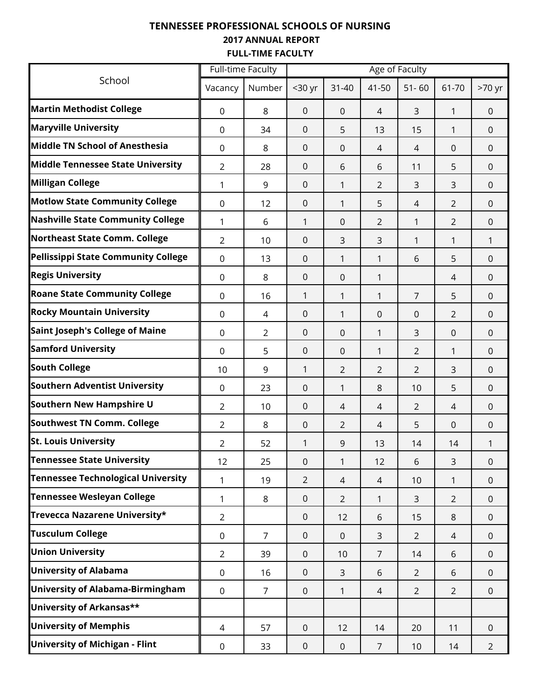### **TENNESSEE PROFESSIONAL SCHOOLS OF NURSING 2017 ANNUAL REPORT FULL-TIME FACULTY**

|                                            |                  | <b>Full-time Faculty</b> |                |                |                | Age of Faculty |                |                |
|--------------------------------------------|------------------|--------------------------|----------------|----------------|----------------|----------------|----------------|----------------|
| School                                     | Vacancy          | Number                   | $30$ yr        | $31 - 40$      | 41-50          | $51 - 60$      | 61-70          | >70 yr         |
| <b>Martin Methodist College</b>            | $\mathbf 0$      | 8                        | $\mathbf 0$    | $\overline{0}$ | 4              | 3              | 1              | $\mathbf{0}$   |
| <b>Maryville University</b>                | $\mathbf 0$      | 34                       | 0              | 5              | 13             | 15             | 1              | $\mathbf{0}$   |
| Middle TN School of Anesthesia             | $\mathbf 0$      | 8                        | $\mathbf 0$    | 0              | 4              | 4              | $\mathbf 0$    | $\mathbf{0}$   |
| <b>Middle Tennessee State University</b>   | $\overline{2}$   | 28                       | 0              | 6              | 6              | 11             | 5              | $\mathbf{0}$   |
| <b>Milligan College</b>                    | 1                | 9                        | $\mathbf 0$    | 1              | 2              | 3              | 3              | $\mathbf{0}$   |
| <b>Motlow State Community College</b>      | $\mathbf 0$      | 12                       | $\mathbf 0$    | 1              | 5              | 4              | $\overline{2}$ | $\overline{0}$ |
| <b>Nashville State Community College</b>   | 1                | 6                        | 1              | 0              | 2              | 1              | $\overline{2}$ | $\overline{0}$ |
| Northeast State Comm. College              | 2                | 10                       | 0              | 3              | 3              | 1              | 1              | 1              |
| <b>Pellissippi State Community College</b> | $\mathbf 0$      | 13                       | $\mathbf 0$    | 1              | 1              | 6              | 5              | $\Omega$       |
| <b>Regis University</b>                    | 0                | 8                        | 0              | $\Omega$       | 1              |                | 4              | $\mathbf 0$    |
| <b>Roane State Community College</b>       | 0                | 16                       | 1              | 1              | 1              | $\overline{7}$ | 5              | $\mathbf{0}$   |
| <b>Rocky Mountain University</b>           | 0                | $\overline{4}$           | 0              | 1              | $\Omega$       | 0              | $\overline{2}$ | $\mathbf 0$    |
| <b>Saint Joseph's College of Maine</b>     | 0                | $\overline{2}$           | 0              | 0              | 1              | 3              | 0              | $\mathbf 0$    |
| <b>Samford University</b>                  | 0                | 5                        | 0              | $\Omega$       | 1              | $\overline{2}$ | 1              | $\mathbf 0$    |
| <b>South College</b>                       | 10               | 9                        | 1              | 2              | 2              | $\overline{2}$ | 3              | $\mathbf 0$    |
| <b>Southern Adventist University</b>       | 0                | 23                       | 0              | 1              | 8              | 10             | 5              | $\mathbf 0$    |
| <b>Southern New Hampshire U</b>            | 2                | 10                       | 0              | 4              | 4              | $\overline{2}$ | 4              | $\Omega$       |
| <b>Southwest TN Comm. College</b>          | 2                | 8                        | 0              | 2              | 4              | 5              | $\Omega$       | $\mathbf 0$    |
| <b>St. Louis University</b>                | $\overline{2}$   | 52                       | 1              | 9              | 13             | 14             | 14             | 1              |
| <b>Tennessee State University</b>          | 12               | 25                       | 0              | $\mathbf{1}$   | 12             | 6              | 3              | $\mathbf 0$    |
| <b>Tennessee Technological University</b>  | 1                | 19                       | $\overline{2}$ | $\overline{4}$ | 4              | 10             | $\mathbf{1}$   | $\overline{0}$ |
| <b>Tennessee Wesleyan College</b>          | 1                | 8                        | $\mathbf 0$    | $\overline{2}$ | 1              | 3              | $\overline{2}$ | $\mathbf{0}$   |
| Trevecca Nazarene University*              | $\overline{2}$   |                          | $\mathbf 0$    | 12             | 6              | 15             | 8              | $\mathbf 0$    |
| <b>Tusculum College</b>                    | $\mathsf 0$      | $\overline{7}$           | $\mathbf 0$    | $\mathbf 0$    | 3              | $\overline{2}$ | $\overline{4}$ | $\overline{0}$ |
| <b>Union University</b>                    | $\overline{2}$   | 39                       | $\mathbf 0$    | 10             | $\overline{7}$ | 14             | 6              | $\overline{0}$ |
| <b>University of Alabama</b>               | $\mathbf 0$      | 16                       | $\overline{0}$ | 3              | 6              | $\overline{2}$ | 6              | $\overline{0}$ |
| <b>University of Alabama-Birmingham</b>    | $\mathbf 0$      | $\overline{7}$           | $\overline{0}$ | $\mathbf{1}$   | 4              | $\overline{2}$ | $\overline{2}$ | $\overline{0}$ |
| University of Arkansas**                   |                  |                          |                |                |                |                |                |                |
| <b>University of Memphis</b>               | 4                | 57                       | $\mathbf 0$    | 12             | 14             | 20             | 11             | $\overline{0}$ |
| <b>University of Michigan - Flint</b>      | $\boldsymbol{0}$ | 33                       | $\mathbf 0$    | $\mathbf 0$    | $\overline{7}$ | 10             | 14             | $\overline{2}$ |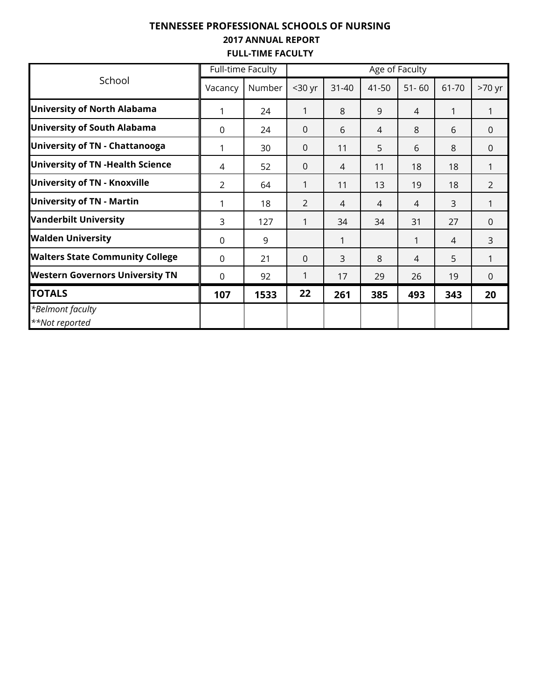### **TENNESSEE PROFESSIONAL SCHOOLS OF NURSING 2017 ANNUAL REPORT FULL-TIME FACULTY**

|                                         |         | <b>Full-time Faculty</b> |                |           |       | Age of Faculty |       |                |
|-----------------------------------------|---------|--------------------------|----------------|-----------|-------|----------------|-------|----------------|
| School                                  | Vacancy | Number                   | $30$ yr        | $31 - 40$ | 41-50 | $51 - 60$      | 61-70 | >70 yr         |
| <b>University of North Alabama</b>      | 1       | 24                       | 1              | 8         | 9     | $\overline{4}$ | 1     | $\mathbf{1}$   |
| <b>University of South Alabama</b>      | 0       | 24                       | $\Omega$       | 6         | 4     | 8              | 6     | $\Omega$       |
| <b>University of TN - Chattanooga</b>   | 1       | 30                       | $\Omega$       | 11        | 5     | 6              | 8     | $\Omega$       |
| <b>University of TN -Health Science</b> | 4       | 52                       | $\Omega$       | 4         | 11    | 18             | 18    | 1              |
| <b>University of TN - Knoxville</b>     | 2       | 64                       | 1              | 11        | 13    | 19             | 18    | $\overline{2}$ |
| <b>University of TN - Martin</b>        | 1       | 18                       | $\overline{2}$ | 4         | 4     | 4              | 3     | 1              |
| <b>Vanderbilt University</b>            | 3       | 127                      | 1              | 34        | 34    | 31             | 27    | $\Omega$       |
| <b>Walden University</b>                | 0       | 9                        |                |           |       | 1              | 4     | 3              |
| <b>Walters State Community College</b>  | 0       | 21                       | $\Omega$       | 3         | 8     | 4              | 5     | 1              |
| <b>Western Governors University TN</b>  | 0       | 92                       | 1              | 17        | 29    | 26             | 19    | $\Omega$       |
| <b>TOTALS</b>                           | 107     | 1533                     | 22             | 261       | 385   | 493            | 343   | 20             |
| *Belmont faculty<br>**Not reported      |         |                          |                |           |       |                |       |                |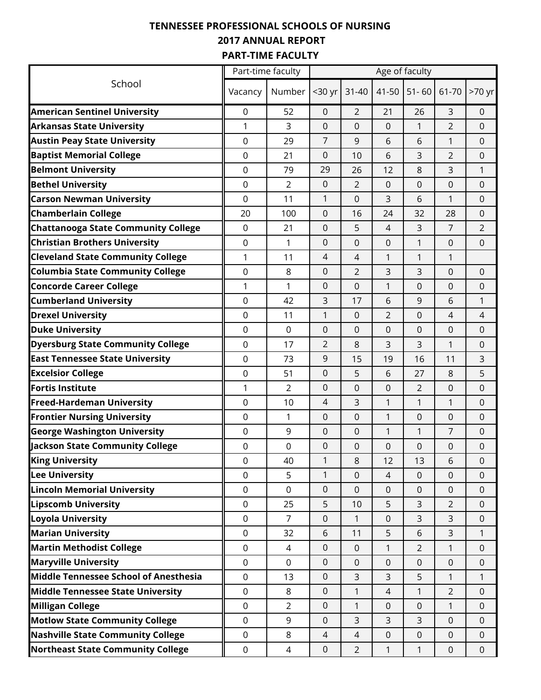# **TENNESSEE PROFESSIONAL SCHOOLS OF NURSING 2017 ANNUAL REPORT PART-TIME FACULTY**

|                                            | Part-time faculty |                |                |                |                | Age of faculty |                |                  |
|--------------------------------------------|-------------------|----------------|----------------|----------------|----------------|----------------|----------------|------------------|
| School                                     | Vacancy           | Number         | <30 yr         | $31 - 40$      | 41-50          | $51 - 60$      | 61-70          | >70 yr           |
| <b>American Sentinel University</b>        | 0                 | 52             | $\overline{0}$ | 2              | 21             | 26             | 3              | 0                |
| <b>Arkansas State University</b>           | 1                 | 3              | 0              | 0              | 0              | 1              | $\overline{2}$ | $\mathbf 0$      |
| <b>Austin Peay State University</b>        | $\boldsymbol{0}$  | 29             | 7              | 9              | 6              | 6              | 1              | $\pmb{0}$        |
| <b>Baptist Memorial College</b>            | $\mathbf 0$       | 21             | 0              | 10             | 6              | 3              | $\overline{2}$ | 0                |
| <b>Belmont University</b>                  | $\boldsymbol{0}$  | 79             | 29             | 26             | 12             | 8              | 3              | 1                |
| <b>Bethel University</b>                   | $\mathbf 0$       | $\overline{2}$ | 0              | $\overline{2}$ | $\mathbf 0$    | 0              | 0              | $\mathbf 0$      |
| <b>Carson Newman University</b>            | $\mathbf 0$       | 11             | 1              | 0              | 3              | 6              | 1              | $\boldsymbol{0}$ |
| <b>Chamberlain College</b>                 | 20                | 100            | 0              | 16             | 24             | 32             | 28             | 0                |
| <b>Chattanooga State Community College</b> | $\boldsymbol{0}$  | 21             | 0              | 5              | $\overline{4}$ | 3              | $\overline{7}$ | $\overline{2}$   |
| <b>Christian Brothers University</b>       | $\mathbf 0$       | $\mathbf{1}$   | $\Omega$       | 0              | 0              | 1              | 0              | $\mathbf 0$      |
| <b>Cleveland State Community College</b>   | 1                 | 11             | 4              | 4              | 1              | 1              | 1              |                  |
| <b>Columbia State Community College</b>    | 0                 | 8              | 0              | $\overline{2}$ | 3              | 3              | 0              | 0                |
| <b>Concorde Career College</b>             | 1                 | 1              | 0              | 0              | $\mathbf{1}$   | $\mathbf 0$    | 0              | $\boldsymbol{0}$ |
| <b>Cumberland University</b>               | 0                 | 42             | 3              | 17             | 6              | 9              | 6              | 1                |
| <b>Drexel University</b>                   | $\boldsymbol{0}$  | 11             | 1              | 0              | $\overline{2}$ | 0              | 4              | 4                |
| <b>Duke University</b>                     | $\mathbf 0$       | $\mathbf 0$    | 0              | 0              | 0              | 0              | 0              | 0                |
| <b>Dyersburg State Community College</b>   | 0                 | 17             | $\overline{2}$ | 8              | 3              | 3              | 1              | 0                |
| <b>East Tennessee State University</b>     | 0                 | 73             | 9              | 15             | 19             | 16             | 11             | 3                |
| <b>Excelsior College</b>                   | $\mathbf 0$       | 51             | 0              | 5              | 6              | 27             | 8              | 5                |
| <b>Fortis Institute</b>                    | 1                 | $\overline{2}$ | 0              | 0              | 0              | 2              | 0              | 0                |
| <b>Freed-Hardeman University</b>           | $\mathbf 0$       | 10             | $\overline{4}$ | 3              | 1              | 1              | 1              | $\mathbf 0$      |
| <b>Frontier Nursing University</b>         | $\mathbf 0$       | $\mathbf{1}$   | 0              | $\mathbf 0$    | 1              | 0              | 0              | $\mathbf 0$      |
| <b>George Washington University</b>        | $\boldsymbol{0}$  | 9              | 0              | 0              | 1              | 1              | 7              | $\pmb{0}$        |
| Jackson State Community College            | $\mathbf 0$       | $\mathbf 0$    | 0              | 0              | 0              | 0              | 0              | $\boldsymbol{0}$ |
| <b>King University</b>                     | $\mathsf 0$       | 40             | $\mathbf{1}$   | 8              | 12             | 13             | 6              | $\mathsf 0$      |
| <b>Lee University</b>                      | $\mathbf 0$       | 5              | $\mathbf{1}$   | $\mathbf 0$    | 4              | $\mathbf 0$    | $\overline{0}$ | $\mathbf 0$      |
| <b>Lincoln Memorial University</b>         | $\mathbf 0$       | $\mathbf 0$    | 0              | 0              | 0              | 0              | 0              | 0                |
| <b>Lipscomb University</b>                 | $\mathbf 0$       | 25             | 5              | 10             | 5              | 3              | $\overline{2}$ | $\mathbf 0$      |
| <b>Loyola University</b>                   | $\mathbf 0$       | $\overline{7}$ | $\mathbf 0$    | $\mathbf{1}$   | 0              | 3              | 3              | $\boldsymbol{0}$ |
| <b>Marian University</b>                   | $\mathbf 0$       | 32             | 6              | 11             | 5              | 6              | 3              | 1                |
| <b>Martin Methodist College</b>            | 0                 | 4              | 0              | 0              | 1              | $\overline{2}$ | 1              | 0                |
| <b>Maryville University</b>                | $\mathbf 0$       | $\mathbf 0$    | 0              | $\mathbf 0$    | 0              | $\mathbf 0$    | 0              | $\mathbf 0$      |
| Middle Tennessee School of Anesthesia      | $\mathbf 0$       | 13             | $\overline{0}$ | 3              | 3              | 5              | 1              | $\mathbf{1}$     |
| Middle Tennessee State University          | $\mathbf 0$       | 8              | 0              | 1              | $\overline{4}$ | 1              | $\overline{2}$ | 0                |
| <b>Milligan College</b>                    | $\mathbf 0$       | $\overline{2}$ | 0              | 1              | 0              | 0              | 1              | 0                |
| <b>Motlow State Community College</b>      | $\mathbf 0$       | 9              | $\mathbf 0$    | 3              | 3              | 3              | $\overline{0}$ | $\mathbf 0$      |
| <b>Nashville State Community College</b>   | $\mathbf 0$       | 8              | $\overline{4}$ | $\overline{4}$ | $\mathbf 0$    | $\mathbf 0$    | 0              | $\mathbf 0$      |
| <b>Northeast State Community College</b>   | $\mathsf 0$       | 4              | 0              | $\overline{2}$ | 1              | 1              | 0              | $\mathbf 0$      |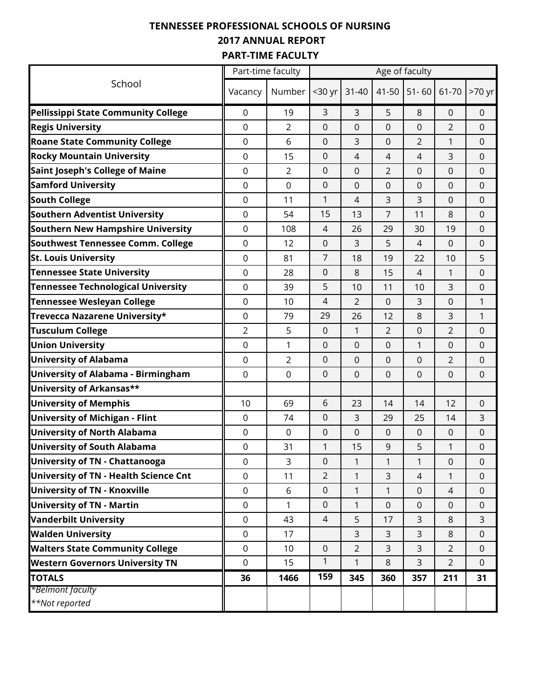# **TENNESSEE PROFESSIONAL SCHOOLS OF NURSING 2017 ANNUAL REPORT PART-TIME FACULTY**

|                                              |                     | Part-time faculty |                     |                |                | Age of faculty   |                |                     |
|----------------------------------------------|---------------------|-------------------|---------------------|----------------|----------------|------------------|----------------|---------------------|
| School                                       | Vacancy             | Number            | <30 yr              | $31 - 40$      | 41-50          | $51 - 60$        | 61-70          | >70 yr              |
| <b>Pellissippi State Community College</b>   | 0                   | 19                | 3                   | 3              | 5              | 8                | 0              | $\pmb{0}$           |
| <b>Regis University</b>                      | $\boldsymbol{0}$    | 2                 | $\overline{0}$      | 0              | 0              | $\mathbf 0$      | 2              | 0                   |
| <b>Roane State Community College</b>         | 0                   | 6                 | $\mathbf 0$         | 3              | 0              | $\overline{2}$   | 1              | $\mathbf 0$         |
| <b>Rocky Mountain University</b>             | 0                   | 15                | 0                   | 4              | $\overline{4}$ | $\overline{4}$   | 3              | $\mathbf 0$         |
| <b>Saint Joseph's College of Maine</b>       | 0                   | $\overline{2}$    | 0                   | 0              | $\overline{2}$ | 0                | 0              | 0                   |
| <b>Samford University</b>                    | 0                   | $\overline{0}$    | $\mathbf 0$         | 0              | 0              | $\mathbf 0$      | 0              | 0                   |
| <b>South College</b>                         | 0                   | 11                | $\mathbf{1}$        | 4              | 3              | 3                | 0              | $\mathbf 0$         |
| <b>Southern Adventist University</b>         | 0                   | 54                | 15                  | 13             | 7              | 11               | 8              | $\pmb{0}$           |
| Southern New Hampshire University            | 0                   | 108               | 4                   | 26             | 29             | 30               | 19             | 0                   |
| <b>Southwest Tennessee Comm. College</b>     | $\boldsymbol{0}$    | 12                | 0                   | 3              | 5              | 4                | 0              | 0                   |
| <b>St. Louis University</b>                  | 0                   | 81                | $\overline{7}$      | 18             | 19             | 22               | 10             | 5                   |
| <b>Tennessee State University</b>            | 0                   | 28                | 0                   | 8              | 15             | 4                | 1              | $\pmb{0}$           |
| <b>Tennessee Technological University</b>    | 0                   | 39                | 5                   | 10             | 11             | 10               | 3              | 0                   |
| <b>Tennessee Wesleyan College</b>            | 0                   | 10                | 4                   | $\overline{2}$ | $\mathbf 0$    | 3                | 0              | 1                   |
| Trevecca Nazarene University*                | 0                   | 79                | 29                  | 26             | 12             | 8                | 3              | 1                   |
| <b>Tusculum College</b>                      | $\overline{2}$      | 5                 | $\boldsymbol{0}$    | 1              | $\overline{2}$ | 0                | $\overline{2}$ | $\boldsymbol{0}$    |
| <b>Union University</b>                      | 0                   | 1                 | 0                   | 0              | 0              | 1                | 0              | 0                   |
| <b>University of Alabama</b>                 | $\mathbf 0$         | $\overline{2}$    | $\mathbf 0$         | 0              | $\mathbf 0$    | $\mathbf 0$      | $\overline{2}$ | $\boldsymbol{0}$    |
| <b>University of Alabama - Birmingham</b>    | $\mathbf 0$         | $\mathbf 0$       | $\mathbf 0$         | 0              | $\mathbf 0$    | $\mathbf 0$      | 0              | $\mathbf 0$         |
| University of Arkansas**                     |                     |                   |                     |                |                |                  |                |                     |
| <b>University of Memphis</b>                 | 10                  | 69                | 6                   | 23             | 14             | 14               | 12             | 0                   |
| <b>University of Michigan - Flint</b>        | 0                   | 74                | $\mathbf 0$         | 3              | 29             | 25               | 14             | 3                   |
| <b>University of North Alabama</b>           | 0                   | $\mathbf 0$       | $\mathbf 0$         | 0              | $\mathbf 0$    | $\mathbf 0$      | 0              | $\boldsymbol{0}$    |
| <b>University of South Alabama</b>           | 0                   | 31                | 1                   | 15             | 9              | 5                | 1              | 0                   |
| University of TN - Chattanooga               | $\mathsf{O}\xspace$ | 3                 | $\mathsf{O}\xspace$ | $\mathbf{1}$   | 1              | 1                | $\overline{0}$ | 0                   |
| <b>University of TN - Health Science Cnt</b> | $\overline{0}$      | 11                | $\overline{2}$      | $\mathbf{1}$   | 3              | $\overline{4}$   | $\mathbf{1}$   | $\mathbf 0$         |
| <b>University of TN - Knoxville</b>          | $\mathsf 0$         | 6                 | 0                   | $\mathbf{1}$   | $\mathbf{1}$   | $\boldsymbol{0}$ | $\overline{4}$ | 0                   |
| <b>University of TN - Martin</b>             | $\boldsymbol{0}$    | 1                 | 0                   | 1              | $\overline{0}$ | $\mathbf 0$      | 0              | 0                   |
| <b>Vanderbilt University</b>                 | $\mathbf 0$         | 43                | $\overline{4}$      | 5              | 17             | 3                | 8              | 3                   |
| <b>Walden University</b>                     | $\mathbf 0$         | 17                |                     | 3              | 3              | 3                | 8              | $\mathsf{O}\xspace$ |
| <b>Walters State Community College</b>       | $\boldsymbol{0}$    | 10                | 0                   | $\overline{2}$ | 3              | 3                | $\overline{2}$ | 0                   |
| <b>Western Governors University TN</b>       | $\mathbf 0$         | 15                | $\mathbf{1}$        | $\mathbf{1}$   | $\,8\,$        | 3                | $\overline{2}$ | $\mathbf 0$         |
| <b>TOTALS</b>                                | 36                  | 1466              | 159                 | 345            | 360            | 357              | 211            | 31                  |
| *Belmont faculty                             |                     |                   |                     |                |                |                  |                |                     |
| **Not reported                               |                     |                   |                     |                |                |                  |                |                     |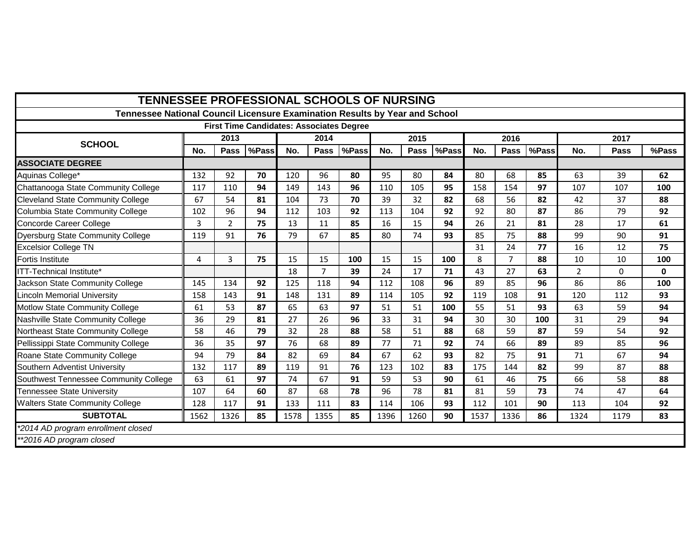| <b>TENNESSEE PROFESSIONAL SCHOOLS OF NURSING</b>                            |      |                |                                                 |      |                |       |      |      |       |      |                |       |                |             |              |
|-----------------------------------------------------------------------------|------|----------------|-------------------------------------------------|------|----------------|-------|------|------|-------|------|----------------|-------|----------------|-------------|--------------|
| Tennessee National Council Licensure Examination Results by Year and School |      |                |                                                 |      |                |       |      |      |       |      |                |       |                |             |              |
|                                                                             |      |                | <b>First Time Candidates: Associates Degree</b> |      |                |       |      |      |       |      |                |       |                |             |              |
| <b>SCHOOL</b>                                                               | 2013 |                |                                                 |      | 2014           |       |      | 2015 |       | 2016 |                |       | 2017           |             |              |
|                                                                             | No.  | Pass           | %Pass                                           | No.  | <b>Pass</b>    | %Pass | No.  | Pass | %Pass | No.  | <b>Pass</b>    | %Pass | No.            | <b>Pass</b> | %Pass        |
| <b>ASSOCIATE DEGREE</b>                                                     |      |                |                                                 |      |                |       |      |      |       |      |                |       |                |             |              |
| Aquinas College*                                                            | 132  | 92             | 70                                              | 120  | 96             | 80    | 95   | 80   | 84    | 80   | 68             | 85    | 63             | 39          | 62           |
| Chattanooga State Community College                                         | 117  | 110            | 94                                              | 149  | 143            | 96    | 110  | 105  | 95    | 158  | 154            | 97    | 107            | 107         | 100          |
| <b>Cleveland State Community College</b>                                    | 67   | 54             | 81                                              | 104  | 73             | 70    | 39   | 32   | 82    | 68   | 56             | 82    | 42             | 37          | 88           |
| Columbia State Community College                                            | 102  | 96             | 94                                              | 112  | 103            | 92    | 113  | 104  | 92    | 92   | 80             | 87    | 86             | 79          | 92           |
| Concorde Career College                                                     | 3    | $\overline{2}$ | 75                                              | 13   | 11             | 85    | 16   | 15   | 94    | 26   | 21             | 81    | 28             | 17          | 61           |
| <b>Dyersburg State Community College</b>                                    | 119  | 91             | 76                                              | 79   | 67             | 85    | 80   | 74   | 93    | 85   | 75             | 88    | 99             | 90          | 91           |
| <b>Excelsior College TN</b>                                                 |      |                |                                                 |      |                |       |      |      |       | 31   | 24             | 77    | 16             | 12          | 75           |
| Fortis Institute                                                            | 4    | 3              | 75                                              | 15   | 15             | 100   | 15   | 15   | 100   | 8    | $\overline{7}$ | 88    | 10             | 10          | 100          |
| ITT-Technical Institute*                                                    |      |                |                                                 | 18   | $\overline{7}$ | 39    | 24   | 17   | 71    | 43   | 27             | 63    | $\overline{2}$ | $\Omega$    | $\mathbf{0}$ |
| Jackson State Community College                                             | 145  | 134            | 92                                              | 125  | 118            | 94    | 112  | 108  | 96    | 89   | 85             | 96    | 86             | 86          | 100          |
| Lincoln Memorial University                                                 | 158  | 143            | 91                                              | 148  | 131            | 89    | 114  | 105  | 92    | 119  | 108            | 91    | 120            | 112         | 93           |
| Motlow State Community College                                              | 61   | 53             | 87                                              | 65   | 63             | 97    | 51   | 51   | 100   | 55   | 51             | 93    | 63             | 59          | 94           |
| Nashville State Community College                                           | 36   | 29             | 81                                              | 27   | 26             | 96    | 33   | 31   | 94    | 30   | 30             | 100   | 31             | 29          | 94           |
| Northeast State Community College                                           | 58   | 46             | 79                                              | 32   | 28             | 88    | 58   | 51   | 88    | 68   | 59             | 87    | 59             | 54          | 92           |
| Pellissippi State Community College                                         | 36   | 35             | 97                                              | 76   | 68             | 89    | 77   | 71   | 92    | 74   | 66             | 89    | 89             | 85          | 96           |
| Roane State Community College                                               | 94   | 79             | 84                                              | 82   | 69             | 84    | 67   | 62   | 93    | 82   | 75             | 91    | 71             | 67          | 94           |
| Southern Adventist University                                               | 132  | 117            | 89                                              | 119  | 91             | 76    | 123  | 102  | 83    | 175  | 144            | 82    | 99             | 87          | 88           |
| Southwest Tennessee Community College                                       | 63   | 61             | 97                                              | 74   | 67             | 91    | 59   | 53   | 90    | 61   | 46             | 75    | 66             | 58          | 88           |
| Tennessee State University                                                  | 107  | 64             | 60                                              | 87   | 68             | 78    | 96   | 78   | 81    | 81   | 59             | 73    | 74             | 47          | 64           |
| <b>Walters State Community College</b>                                      | 128  | 117            | 91                                              | 133  | 111            | 83    | 114  | 106  | 93    | 112  | 101            | 90    | 113            | 104         | 92           |
| <b>SUBTOTAL</b>                                                             | 1562 | 1326           | 85                                              | 1578 | 1355           | 85    | 1396 | 1260 | 90    | 1537 | 1336           | 86    | 1324           | 1179        | 83           |
| *2014 AD program enrollment closed                                          |      |                |                                                 |      |                |       |      |      |       |      |                |       |                |             |              |
| **2016 AD program closed                                                    |      |                |                                                 |      |                |       |      |      |       |      |                |       |                |             |              |